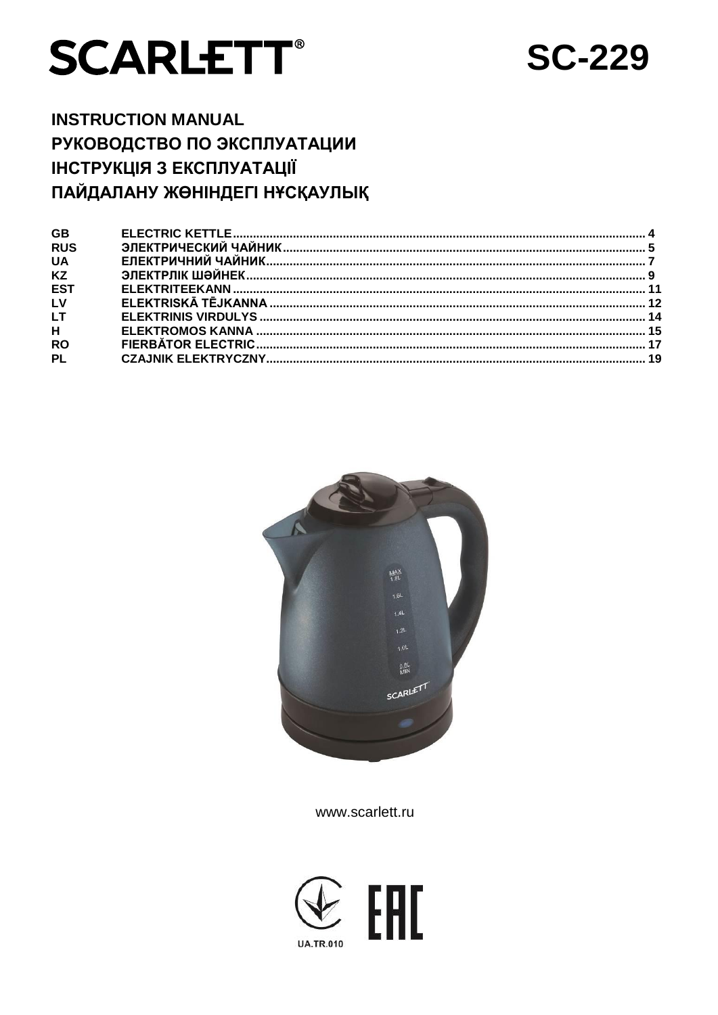# **SCARLETT®**

## **SC-229**

## **INSTRUCTION MANUAL** РУКОВОДСТВО ПО ЭКСПЛУАТАЦИИ **ІНСТРУКЦІЯ З ЕКСПЛУАТАЦІЇ** ПАЙДАЛАНУ ЖӨНІНДЕГІ НҰСҚАУЛЫҚ



www.scarlett.ru

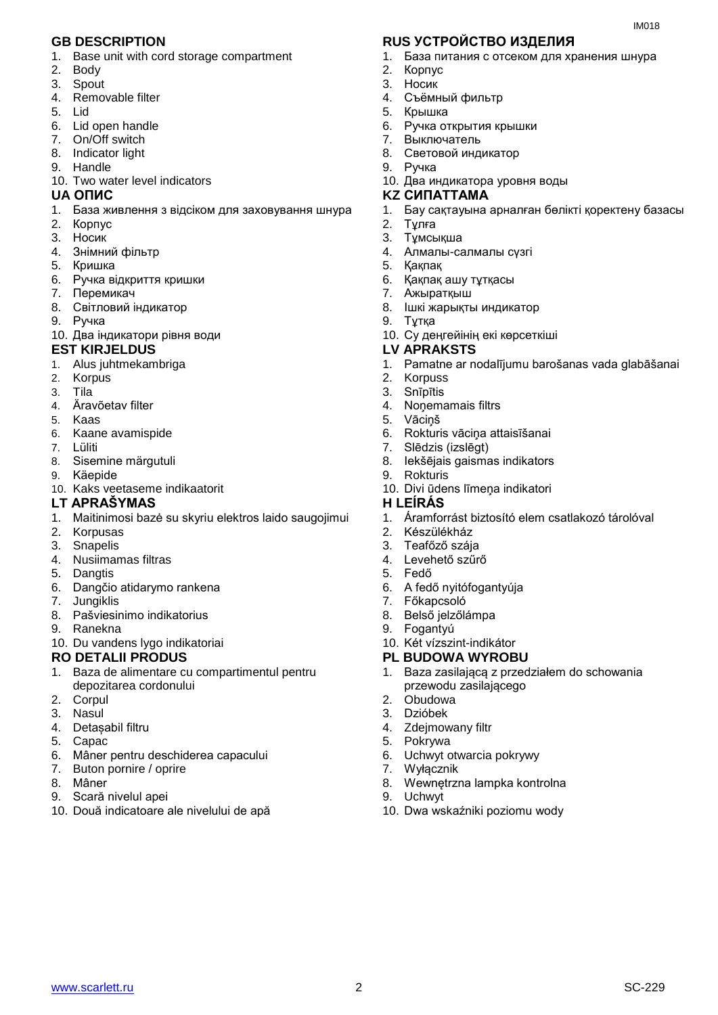- 1. Base unit with cord storage compartment
- 2. Body
- 3. Spout
- 4. Removable filter
- 5. Lid
- 6. Lid open handle
- 7. On/Off switch
- 8. Indicator light
- 9. Handle
- 10. Two water level indicators

- 1. База живлення з відсіком для заховування шнура
- 2. Корпус
- 3. Носик
- 4. Знiмний фільтр
- 5. Кришка
- 6. Ручка відкриття кришки
- 7. Перемикач
- 8. Світловий індикатор
- 9. Ручка
- 10. Два індикатори рівня води

#### **EST KIRJELDUS LV APRAKSTS**

- 1. Alus juhtmekambriga
- 2. Korpus
- 3. Tila
- 4. Äravõetav filter
- 5. Kaas
- 6. Kaane avamispide
- 7. Lüliti
- 8. Sisemine märgutuli
- 9. Käepide
- 10. Kaks veetaseme indikaatorit
- **LT APRAŠYMAS H LEÍRÁS**
- 1. Maitinimosi bazė su skyriu elektros laido saugojimui
- 2. Korpusas
- 3. Snapelis
- 4. Nusiimamas filtras
- 5. Dangtis
- 6. Dangčio atidarymo rankena
- 7. Jungiklis
- 8. Pašviesinimo indikatorius
- 9. Ranekna
- 10. Du vandens lygo indikatoriai

#### **RO DETALII PRODUS PL BUDOWA WYROBU**

- 1. Baza de alimentare cu compartimentul pentru depozitarea cordonului
- 2. Corpul
- 3. Nasul
- 4. Detașabil filtru
- 5. Capac
- 6. Mâner pentru deschiderea capacului
- 7. Buton pornire / oprire
- 8. Mâner
- 9. Scară nivelul apei
- 10. Două indicatoare ale nivelului de apă

#### **GB DESCRIPTION RUS УСТРОЙСТВО ИЗДЕЛИЯ**

- 1. База питания с отсеком для хранения шнура
- 2. Корпус

IM018

- 3. Носик
- 4. Съёмный фильтр
- 5. Крышка
- 6. Ручка открытия крышки
- 7. Выключатель
- 8. Cветовой индикатор
- 9. Ручка 10. Два индикатора уровня воды
- **UA ОПИС KZ СИПАТТАМА**
	- 1. Бау сақтауына арналған бөлікті қоректену базасы
	- 2. Тұлға
	- 3. Тұмсықша
	- 4. Алмалы-салмалы сүзгі
	- 5. Қақпақ
	- 6. Қақпақ ашу тұтқасы
	- 7. Ажыратқыш
	- 8. Ішкі жарықты индикатор
	- 9. Тұтқа
	- 10. Су деңгейінің екі көрсеткіші

- 1. Pamatne ar nodalījumu barošanas vada glabāšanai
- 2. Korpuss
- 3. Snīpītis
- 4. Noņemamais filtrs
- 5. Vāciņš
- 6. Rokturis vāciņa attaisīšanai
- 7. Slēdzis (izslēgt)
- 8. Iekšējais gaismas indikators
- 9. Rokturis
- 10. Divi ūdens līmeņa indikatori

- 1. Áramforrást biztosító elem csatlakozó tárolóval
- 2. Készülékház
- 3. Teafőző szája
- 4. Levehető szűrő
- 5. Fedő

www.scarlett.ru SC-229

- 6. A fedő nyitófogantyúja
- 7. Főkapcsoló
- 8. Belső jelzőlámpa

4. Zdejmowany filtr

9. Fogantyú

3. Dzióbek

5. Pokrywa

7. Wyłącznik

9. Uchwyt

- 10. Két vízszint-indikátor
- 

6. Uchwyt otwarcia pokrywy

8. Wewnętrzna lampka kontrolna

10. Dwa wskaźniki poziomu wody

1. Baza zasilającą z przedziałem do schowania przewodu zasilającego 2. Obudowa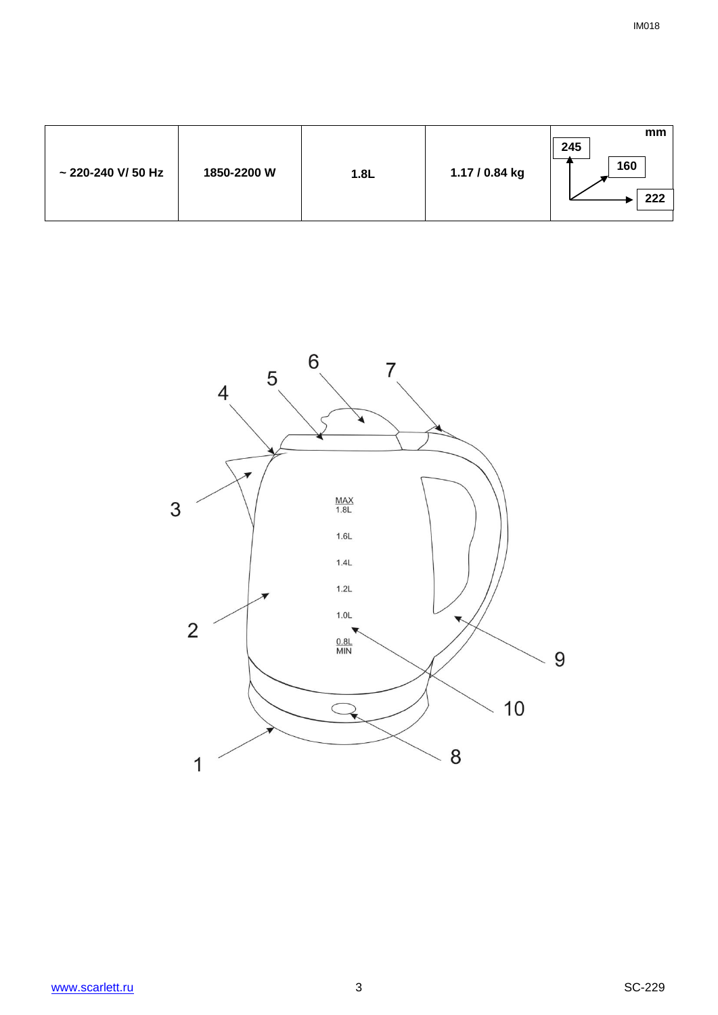| $\sim$ 220-240 V/50 Hz<br>1850-2200 W | 1.8L | 1.17 / 0.84 kg | mm<br>245<br>160<br>222 |
|---------------------------------------|------|----------------|-------------------------|
|---------------------------------------|------|----------------|-------------------------|

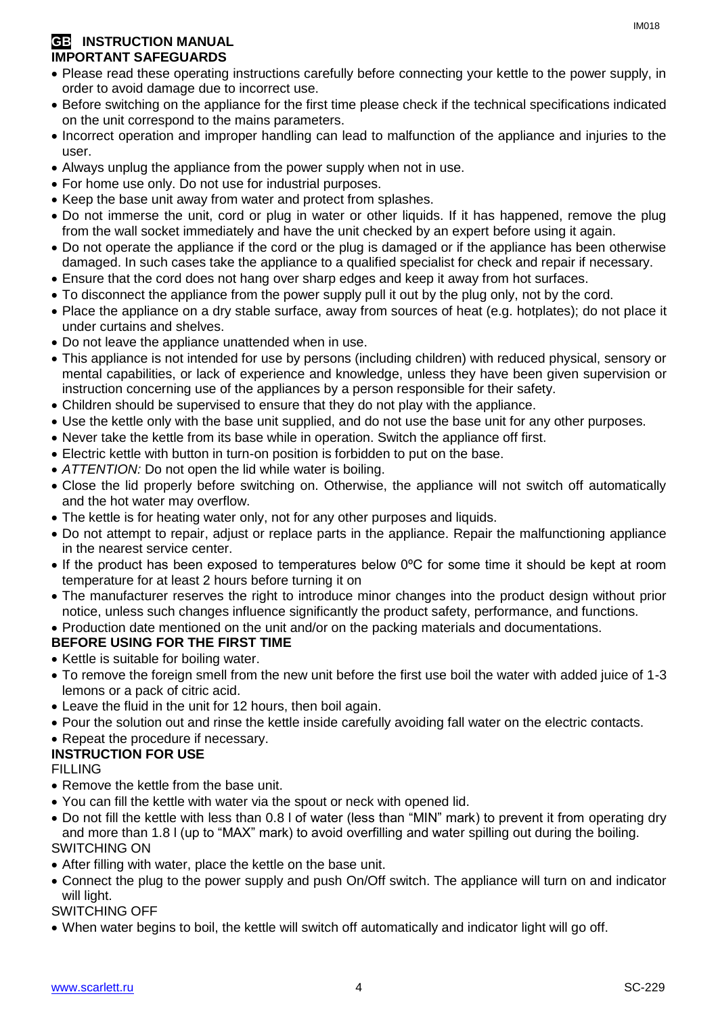#### **GB** INSTRUCTION MANUAL **IMPORTANT SAFEGUARDS**

- Please read these operating instructions carefully before connecting your kettle to the power supply, in order to avoid damage due to incorrect use.
- Before switching on the appliance for the first time please check if the technical specifications indicated on the unit correspond to the mains parameters.
- Incorrect operation and improper handling can lead to malfunction of the appliance and injuries to the user.
- Always unplug the appliance from the power supply when not in use.
- For home use only. Do not use for industrial purposes.
- Keep the base unit away from water and protect from splashes.
- Do not immerse the unit, cord or plug in water or other liquids. If it has happened, remove the plug from the wall socket immediately and have the unit checked by an expert before using it again.
- Do not operate the appliance if the cord or the plug is damaged or if the appliance has been otherwise damaged. In such cases take the appliance to a qualified specialist for check and repair if necessary.
- Ensure that the cord does not hang over sharp edges and keep it away from hot surfaces.
- To disconnect the appliance from the power supply pull it out by the plug only, not by the cord.
- Place the appliance on a dry stable surface, away from sources of heat (e.g. hotplates); do not place it under curtains and shelves.
- Do not leave the appliance unattended when in use.
- This appliance is not intended for use by persons (including children) with reduced physical, sensory or mental capabilities, or lack of experience and knowledge, unless they have been given supervision or instruction concerning use of the appliances by a person responsible for their safety.
- Children should be supervised to ensure that they do not play with the appliance.
- Use the kettle only with the base unit supplied, and do not use the base unit for any other purposes.
- Never take the kettle from its base while in operation. Switch the appliance off first.
- Electric kettle with button in turn-on position is forbidden to put on the base.
- *ATTENTION:* Do not open the lid while water is boiling.
- Close the lid properly before switching on. Otherwise, the appliance will not switch off automatically and the hot water may overflow.
- The kettle is for heating water only, not for any other purposes and liquids.
- Do not attempt to repair, adjust or replace parts in the appliance. Repair the malfunctioning appliance in the nearest service center.
- If the product has been exposed to temperatures below 0ºC for some time it should be kept at room temperature for at least 2 hours before turning it on
- The manufacturer reserves the right to introduce minor changes into the product design without prior notice, unless such changes influence significantly the product safety, performance, and functions.
- Production date mentioned on the unit and/or on the packing materials and documentations.

#### **BEFORE USING FOR THE FIRST TIME**

- Kettle is suitable for boiling water.
- To remove the foreign smell from the new unit before the first use boil the water with added juice of 1-3 lemons or a pack of citric acid.
- Leave the fluid in the unit for 12 hours, then boil again.
- Pour the solution out and rinse the kettle inside carefully avoiding fall water on the electric contacts.

#### • Repeat the procedure if necessary.

#### **INSTRUCTION FOR USE**

FILLING

- Remove the kettle from the base unit.
- You can fill the kettle with water via the spout or neck with opened lid.
- Do not fill the kettle with less than 0.8 l of water (less than "MIN" mark) to prevent it from operating dry and more than 1.8 l (up to "MAX" mark) to avoid overfilling and water spilling out during the boiling. SWITCHING ON
- After filling with water, place the kettle on the base unit.
- Connect the plug to the power supply and push On/Off switch. The appliance will turn on and indicator will light.

#### SWITCHING OFF

When water begins to boil, the kettle will switch off automatically and indicator light will go off.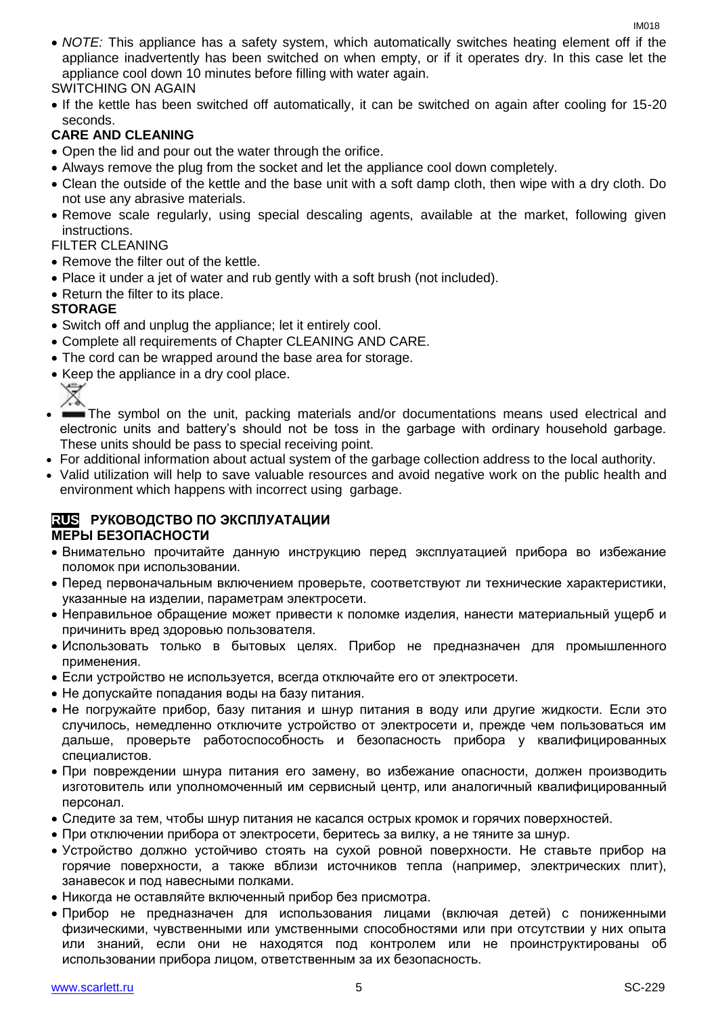*NOTE:* This appliance has a safety system, which automatically switches heating element off if the appliance inadvertently has been switched on when empty, or if it operates dry. In this case let the appliance cool down 10 minutes before filling with water again.

#### SWITCHING ON AGAIN

• If the kettle has been switched off automatically, it can be switched on again after cooling for 15-20 seconds.

#### **CARE AND CLEANING**

- Open the lid and pour out the water through the orifice.
- Always remove the plug from the socket and let the appliance cool down completely.
- Clean the outside of the kettle and the base unit with a soft damp cloth, then wipe with a dry cloth. Do not use any abrasive materials.
- Remove scale regularly, using special descaling agents, available at the market, following given instructions.

#### FILTER CLEANING

- Remove the filter out of the kettle.
- Place it under a jet of water and rub gently with a soft brush (not included).
- Return the filter to its place.

#### **STORAGE**

∀

- Switch off and unplug the appliance; let it entirely cool.
- Complete all requirements of Chapter CLEANING AND CARE.
- The cord can be wrapped around the base area for storage.
- Keep the appliance in a dry cool place.
- The symbol on the unit, packing materials and/or documentations means used electrical and electronic units and battery's should not be toss in the garbage with ordinary household garbage. These units should be pass to special receiving point.
- For additional information about actual system of the garbage collection address to the local authority.
- Valid utilization will help to save valuable resources and avoid negative work on the public health and environment which happens with incorrect using garbage.

#### **RUS РУКОВОДСТВО ПО ЭКСПЛУАТАЦИИ МЕРЫ БЕЗОПАСНОСТИ**

- Внимательно прочитайте данную инструкцию перед эксплуатацией прибора во избежание поломок при использовании.
- Перед первоначальным включением проверьте, соответствуют ли технические характеристики, указанные на изделии, параметрам электросети.
- Неправильное обращение может привести к поломке изделия, нанести материальный ущерб и причинить вред здоровью пользователя.
- Использовать только в бытовых целях. Прибор не предназначен для промышленного применения.
- Если устройство не используется, всегда отключайте его от электросети.
- Не допускайте попадания воды на базу питания.
- Не погружайте прибор, базу питания и шнур питания в воду или другие жидкости. Если это случилось, немедленно отключите устройство от электросети и, прежде чем пользоваться им дальше, проверьте работоспособность и безопасность прибора у квалифицированных специалистов.
- При повреждении шнура питания его замену, во избежание опасности, должен производить изготовитель или уполномоченный им сервисный центр, или аналогичный квалифицированный персонал.
- Следите за тем, чтобы шнур питания не касался острых кромок и горячих поверхностей.
- При отключении прибора от электросети, беритесь за вилку, а не тяните за шнур.
- Устройство должно устойчиво стоять на сухой ровной поверхности. Не ставьте прибор на горячие поверхности, а также вблизи источников тепла (например, электрических плит), занавесок и под навесными полками.
- Никогда не оставляйте включенный прибор без присмотра.
- Прибор не предназначен для использования лицами (включая детей) с пониженными физическими, чувственными или умственными способностями или при отсутствии у них опыта или знаний, если они не находятся под контролем или не проинструктированы об использовании прибора лицом, ответственным за их безопасность.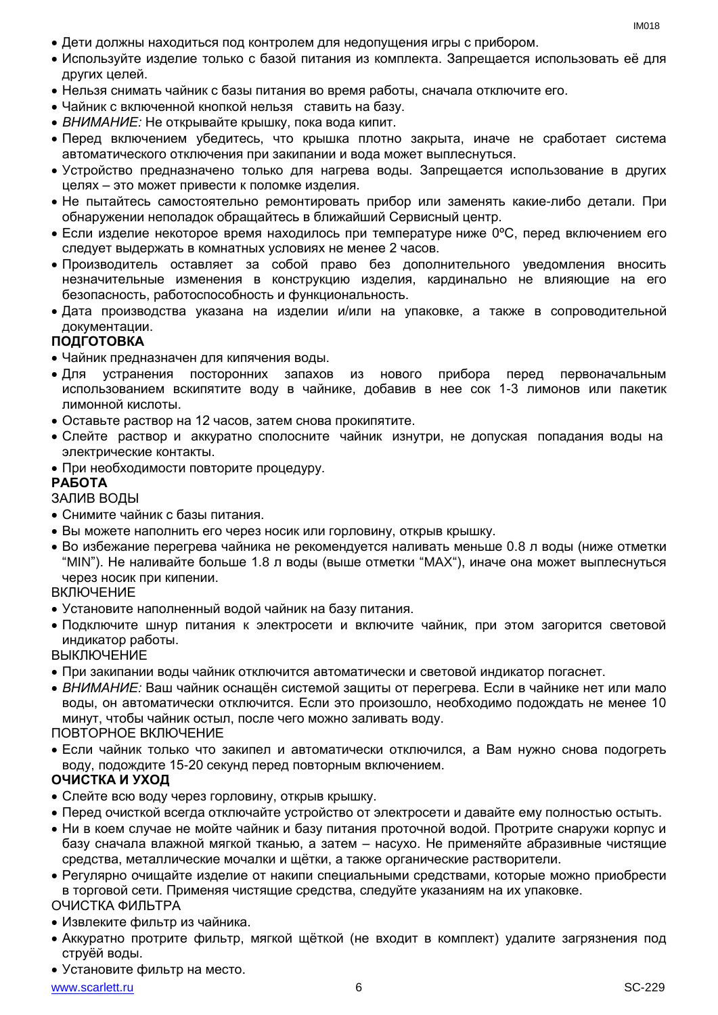- Дети должны находиться под контролем для недопущения игры с прибором.
- Используйте изделие только с базой питания из комплекта. Запрещается использовать её для других целей.
- Нельзя снимать чайник с базы питания во время работы, сначала отключите его.
- Чайник с включенной кнопкой нельзя ставить на базу.
- *ВНИМАНИЕ:* Не открывайте крышку, пока вода кипит.
- Перед включением убедитесь, что крышка плотно закрыта, иначе не сработает система автоматического отключения при закипании и вода может выплеснуться.
- Устройство предназначено только для нагрева воды. Запрещается использование в других целях – это может привести к поломке изделия.
- Не пытайтесь самостоятельно ремонтировать прибор или заменять какие-либо детали. При обнаружении неполадок обращайтесь в ближайший Сервисный центр.
- $\bullet$  Если изделие некоторое время находилось при температуре ниже 0°С, перед включением его следует выдержать в комнатных условиях не менее 2 часов.
- Производитель оставляет за собой право без дополнительного уведомления вносить незначительные изменения в конструкцию изделия, кардинально не влияющие на его безопасность, работоспособность и функциональность.
- Дата производства указана на изделии и/или на упаковке, а также в сопроводительной документации.

#### **ПОДГОТОВКА**

- Чайник предназначен для кипячения воды.
- Для устранения посторонних запахов из нового прибора перед первоначальным использованием вскипятите воду в чайнике, добавив в нее сок 1-3 лимонов или пакетик лимонной кислоты.
- Оставьте раствор на 12 часов, затем снова прокипятите.
- Слейте раствор и аккуратно сполосните чайник изнутри, не допуская попадания воды на электрические контакты.
- При необходимости повторите процедуру.

#### **РАБОТА**

#### ЗАЛИВ ВОДЫ

- Снимите чайник с базы питания.
- Вы можете наполнить его через носик или горловину, открыв крышку.
- Во избежание перегрева чайника не рекомендуется наливать меньше 0.8 л воды (ниже отметки "MIN"). Не наливайте больше 1.8 л воды (выше отметки "MAX"), иначе она может выплеснуться через носик при кипении.

#### **ВКЛЮЧЕНИЕ**

- Установите наполненный водой чайник на базу питания.
- Подключите шнур питания к электросети и включите чайник, при этом загорится световой индикатор работы.

**ВЫКЛЮЧЕНИЕ** 

- При закипании воды чайник отключится автоматически и световой индикатор погаснет.
- *ВНИМАНИЕ:* Ваш чайник оснащён системой защиты от перегрева. Если в чайнике нет или мало воды, он автоматически отключится. Если это произошло, необходимо подождать не менее 10 минут, чтобы чайник остыл, после чего можно заливать воду.

#### ПОВТОРНОЕ ВКЛЮЧЕНИЕ

 Если чайник только что закипел и автоматически отключился, а Вам нужно снова подогреть воду, подождите 15-20 секунд перед повторным включением.

#### **ОЧИСТКА И УХОД**

- Слейте всю воду через горловину, открыв крышку.
- Перед очисткой всегда отключайте устройство от электросети и давайте ему полностью остыть.
- Ни в коем случае не мойте чайник и базу питания проточной водой. Протрите снаружи корпус и базу сначала влажной мягкой тканью, а затем – насухо. Не применяйте абразивные чистящие средства, металлические мочалки и щётки, а также органические растворители.
- Регулярно очищайте изделие от накипи специальными средствами, которые можно приобрести в торговой сети. Применяя чистящие средства, следуйте указаниям на их упаковке.

#### ОЧИСТКА ФИЛЬТРА

- Извлеките фильтр из чайника.
- Аккуратно протрите фильтр, мягкой щёткой (не входит в комплект) удалите загрязнения под струёй воды.
- Установите фильтр на место.

#### www.scarlett.ru SC-229 SC-229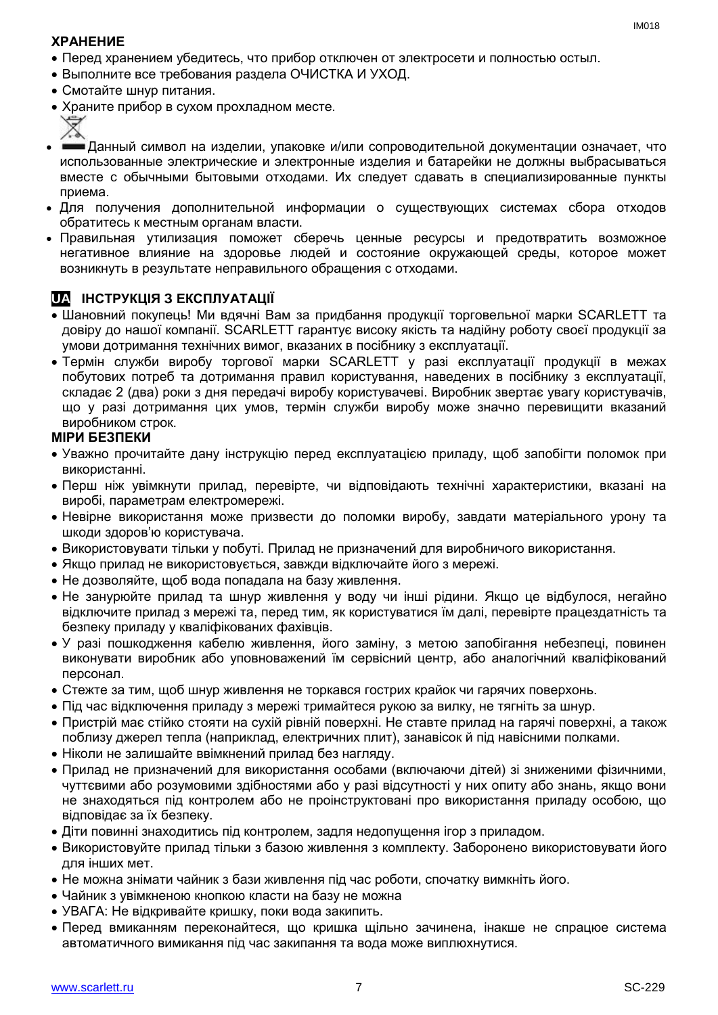#### **ХРАНЕНИЕ**

- Перед хранением убедитесь, что прибор отключен от электросети и полностью остыл.
- Выполните все требования раздела ОЧИСТКА И УХОД.
- Смотайте шнур питания.
- Храните прибор в сухом прохладном месте.



- Данный символ на изделии, упаковке и/или сопроводительной документации означает, что использованные электрические и электронные изделия и батарейки не должны выбрасываться вместе с обычными бытовыми отходами. Их следует сдавать в специализированные пункты приема.
- Для получения дополнительной информации о существующих системах сбора отходов обратитесь к местным органам власти.
- Правильная утилизация поможет сберечь ценные ресурсы и предотвратить возможное негативное влияние на здоровье людей и состояние окружающей среды, которое может возникнуть в результате неправильного обращения с отходами.

## **UA ІНСТРУКЦІЯ З ЕКСПЛУАТАЦІЇ**

- Шановний покупець! Ми вдячні Вам за придбання продукції торговельної марки SCARLETT та довіру до нашої компанії. SCARLETT гарантує високу якість та надійну роботу своєї продукції за умови дотримання технічних вимог, вказаних в посібнику з експлуатації.
- Термін служби виробу торгової марки SCARLETT у разі експлуатації продукції в межах побутових потреб та дотримання правил користування, наведених в посібнику з експлуатації, складає 2 (два) роки з дня передачі виробу користувачеві. Виробник звертає увагу користувачів, що у разі дотримання цих умов, термін служби виробу може значно перевищити вказаний виробником строк.

#### **МІРИ БЕЗПЕКИ**

- Уважно прочитайте дану інструкцію перед експлуатацією приладу, щоб запобігти поломок при використанні.
- Перш ніж увімкнути прилад, перевірте, чи відповідають технічні характеристики, вказані на виробі, параметрам електромережі.
- Невiрне використання може призвести до поломки виробу, завдати матеріального урону та шкоди здоров'ю користувача.
- Використовувати тільки у побуті. Прилад не призначений для виробничого використання.
- Якщо прилад не використовується, завжди відключайте його з мережі.
- Не дозволяйте, щоб вода попадала на базу живлення.
- Не занурюйте прилад та шнур живлення у воду чи інші рідини. Якщо це відбулося, негайно відключите прилад з мережі та, перед тим, як користуватися їм далі, перевірте працездатність та безпеку приладу у кваліфікованих фахівців.
- У разі пошкодження кабелю живлення, його заміну, з метою запобігання небезпеці, повинен виконувати виробник або уповноважений їм сервісний центр, або аналогічний кваліфікований персонал.
- Стежте за тим, щоб шнур живлення не торкався гострих крайок чи гарячих поверхонь.
- Пiд час відключення приладу з мережі тримайтеся рукою за вилку, не тягніть за шнур.
- Пристрій має стійко стояти на сухій рiвній поверхні. Не ставте прилад на гарячі поверхні, а також поблизу джерел тепла (наприклад, електричних плит), занавісок й під навісними полками.
- Ніколи не залишайте ввімкнений прилад без нагляду.
- Прилад не призначений для використання особами (включаючи дітей) зі зниженими фізичними, чуттєвими або розумовими здібностями або у разі відсутності у них опиту або знань, якщо вони не знаходяться під контролем або не проінструктовані про використання приладу особою, що відповідає за їх безпеку.
- Діти повинні знаходитись під контролем, задля недопущення ігор з приладом.
- Використовуйте прилад тільки з базою живлення з комплекту. Заборонено використовувати його для iнших мет.
- Не можна знімати чайник з бази живлення під час роботи, спочатку вимкніть його.
- Чайник з увімкненою кнопкою класти на базу не можна
- УВАГА: Не відкривайте кришку, поки вода закипить.
- Перед вмиканням переконайтеся, що кришка щільно зачинена, інакше не спрацюе система автоматичного вимикання пiд час закипання та вода може виплюхнутися.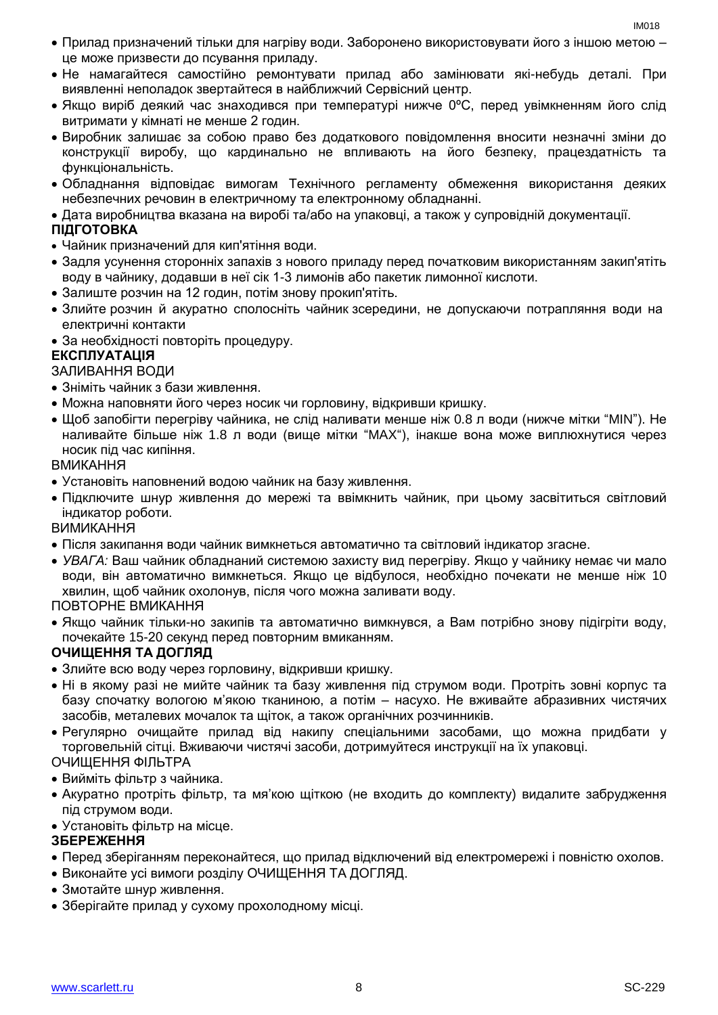- Прилад призначений тільки для нагріву води. Заборонено використовувати його з іншою метою це може призвести до псування приладу.
- Не намагайтеся самостійно ремонтувати прилад або замінювати які-небудь деталі. При виявленні неполадок звертайтеся в найближчий Сервісний центр.
- Якщо виріб деякий час знаходився при температурі нижче 0ºC, перед увімкненням його слід витримати у кімнаті не менше 2 годин.
- Виробник залишає за собою право без додаткового повідомлення вносити незначні зміни до конструкції виробу, що кардинально не впливають на його безпеку, працездатність та функціональність.
- Обладнання відповідає вимогам Технічного регламенту обмеження використання деяких небезпечних речовин в електричному та електронному обладнанні.
- Дата виробництва вказана на виробі та/або на упаковці, а також у супровідній документації.

#### **ПІДГОТОВКА**

- Чайник призначений для кип'ятіння води.
- Задля усунення сторонніх запахів з нового приладу перед початковим використанням закип'ятіть воду в чайнику, додавши в неї сік 1-3 лимонів або пакетик лимонної кислоти.
- Залиште розчин на 12 годин, потім знову прокип'ятіть.
- Злийте розчин й акуратно сполосніть чайник зсередини, не допускаючи потрапляння води на електричні контакти
- За необхідності повторіть процедуру.

#### **ЕКСПЛУАТАЦІЯ**

#### ЗАЛИВАННЯ ВОДИ

- Зніміть чайник з бази живлення.
- Можна наповняти його через носик чи горловину, відкривши кришку.
- $\bullet$  Шоб запобігти перегріву чайника, не слід наливати менше ніж 0.8 л води (нижче мітки "MIN"). Не наливайте більше ніж 1.8 л води (вище мітки "MAX"), інакше вона може виплюхнутися через носик пiд час кипіння.

ВМИКАННЯ

- Установіть наповнений водою чайник на базу живлення.
- Підключите шнур живлення до мережі та ввімкнить чайник, при цьому засвітиться світловий індикатор роботи.

ВИМИКАННЯ

- Після закипання води чайник вимкнеться автоматично та світловий індикатор згасне.
- *УВАГА:* Ваш чайник обладнаний системою захисту вид перегріву. Якщо у чайнику немає чи мало води, він автоматично вимкнеться. Якщо це відбулося, необхідно почекати не менше ніж 10 хвилин, щоб чайник охолонув, після чого можна заливати воду.

#### ПОВТОРНЕ ВМИКАННЯ

 Якщо чайник тільки-но закипів та автоматично вимкнувся, а Вам потрібно знову підігріти воду, почекайте 15-20 секунд перед повторним вмиканням.

#### **ОЧИЩЕННЯ ТА ДОГЛЯД**

- Злийте всю воду через горловину, відкривши кришку.
- Ні в якому разі не мийте чайник та базу живлення під струмом води. Протріть зовні корпус та базу спочатку вологою м'якою тканиною, а потім – насухо. Не вживайте абразивних чистячих засобів, металевих мочалок та щіток, а також органічних розчинників.
- Регулярно очищайте прилад від накипу спеціальними засобами, що можна придбати у торговельній сітці. Вживаючи чистячі засоби, дотримуйтеся инструкції на їх упаковці.

ОЧИЩЕННЯ ФІЛЬТРА

- Вийміть фільтр з чайника.
- Акуратно протріть фільтр, та мя'кою щіткою (не входить до комплекту) видалите забрудження під струмом води.
- Установіть фільтр на місце.

#### **ЗБЕРЕЖЕННЯ**

- Перед зберіганням переконайтеся, що прилад відключений від електромережі і повністю охолов.
- Виконайте усі вимоги розділу ОЧИЩЕННЯ ТА ДОГЛЯД.
- Змотайте шнур живлення.
- Зберігайте прилад у сухому прохолодному місці.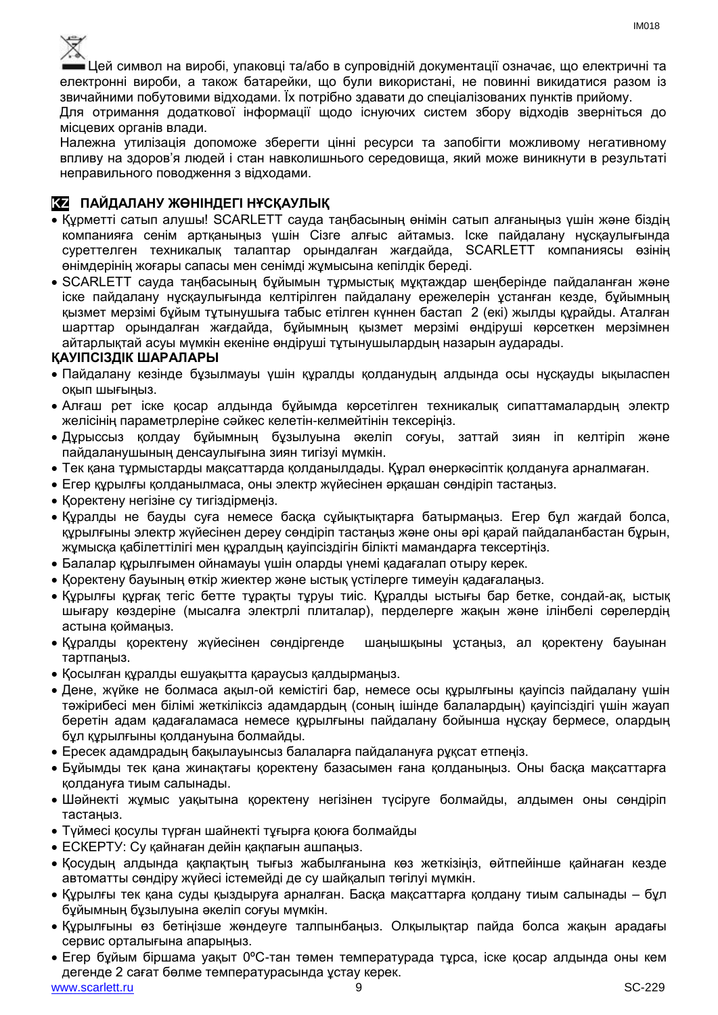

Цей символ на виробі, упаковці та/або в супровідній документації означає, що електричні та електронні вироби, а також батарейки, що були використані, не повинні викидатися разом із звичайними побутовими відходами. Їх потрібно здавати до спеціалізованих пунктів прийому.

Для отримання додаткової інформації щодо існуючих систем збору відходів зверніться до місцевих органів влади.

Належна утилізація допоможе зберегти цінні ресурси та запобігти можливому негативному впливу на здоров'я людей і стан навколишнього середовища, який може виникнути в результаті неправильного поводження з відходами.

#### **KZ ПАЙДАЛАНУ ЖӨНІНДЕГІ НҰСҚАУЛЫҚ**

- Құрметті сатып алушы! SCARLETT сауда таңбасының өнімін сатып алғаныңыз үшін және біздің компанияға сенім артқаныңыз үшін Сізге алғыс айтамыз. Іске пайдалану нұсқаулығында суреттелген техникалық талаптар орындалған жағдайда, SCARLETT компаниясы өзінің өнімдерінің жоғары сапасы мен сенімді жұмысына кепілдік береді.
- SCARLETT сауда таңбасының бұйымын тұрмыстық мұқтаждар шеңберінде пайдаланған және іске пайдалану нұсқаулығында келтірілген пайдалану ережелерін ұстанған кезде, бұйымның қызмет мерзімі бұйым тұтынушыға табыс етілген күннен бастап 2 (екі) жылды құрайды. Аталған шарттар орындалған жағдайда, бұйымның қызмет мерзімі өндіруші көрсеткен мерзімнен айтарлықтай асуы мүмкін екеніне өндіруші тұтынушылардың назарын аударады.

#### **ҚАУІПСІЗДІК ШАРАЛАРЫ**

- Пайдалану кезінде бұзылмауы үшін құралды қолданудың алдында осы нұсқауды ықыласпен оқып шығыңыз.
- Алғаш рет іске қосар алдында бұйымда көрсетілген техникалық сипаттамалардың электр желісінің параметрлеріне сәйкес келетін-келмейтінін тексеріңіз.
- Дұрыссыз қолдау бұйымның бұзылуына әкеліп соғуы, заттай зиян іп келтіріп және пайдаланушының денсаулығына зиян тигізуі мүмкін.
- Тек қана тұрмыстарды мақсаттарда қолданылдады. Құрал өнеркәсіптік қолдануға арналмаған.
- Егер құрылғы қолданылмаса, оны электр жүйесінен әрқашан сөндіріп тастаңыз.
- Қоректену негізіне су тигіздірмеңіз.
- Құралды не бауды суға немесе басқа сұйықтықтарға батырмаңыз. Егер бұл жағдай болса, құрылғыны электр жүйесінен дереу сөндіріп тастаңыз және оны әрі қарай пайдаланбастан бұрын, жұмысқа қабілеттілігі мен құралдың қауіпсіздігін білікті мамандарға тексертіңіз.
- Балалар құрылғымен ойнамауы үшін оларды үнемі қадағалап отыру керек.
- Қоректену бауының өткір жиектер және ыстық үстілерге тимеуін қадағалаңыз.
- Құрылғы құрғақ тегіс бетте тұрақты тұруы тиіс. Құралды ыстығы бар бетке, сондай-ақ, ыстық шығару көздеріне (мысалға электрлі плиталар), перделерге жақын және ілінбелі сөрелердің астына қоймаңыз.
- Құралды қоректену жүйесінен сөндіргенде шаңышқыны ұстаңыз, ал қоректену бауынан тартпаңыз.
- Қосылған құралды ешуақытта қараусыз қалдырмаңыз.
- Дене, жүйке не болмаса ақыл-ой кемістігі бар, немесе осы құрылғыны қауіпсіз пайдалану үшін тәжірибесі мен білімі жеткіліксіз адамдардың (соның ішінде балалардың) қауіпсіздігі үшін жауап беретін адам қадағаламаса немесе құрылғыны пайдалану бойынша нұсқау бермесе, олардың бұл құрылғыны қолдануына болмайды.
- Ересек адамдрадың бақылауынсыз балаларға пайдалануға рұқсат етпеңіз.
- Бұйымды тек қана жинақтағы қоректену базасымен ғана қолданыңыз. Оны басқа мақсаттарға қолдануға тиым салынады.
- Шәйнекті жұмыс уақытына қоректену негізінен түсіруге болмайды, алдымен оны сөндіріп тастаңыз.
- Түймесі қосулы түрған шайнекті тұғырға қоюға болмайды
- ЕСКЕРТУ: Су қайнаған дейін қақпағын ашпаңыз.
- Қосудың алдында қақпақтың тығыз жабылғанына көз жеткізіңіз, өйтпейінше қайнаған кезде автоматты сөндіру жүйесі істемейді де су шайқалып төгілуі мүмкін.
- Құрылғы тек қана суды қыздыруға арналған. Басқа мақсаттарға қолдану тиым салынады бұл бұйымның бұзылуына әкеліп соғуы мүмкін.
- Құрылғыны өз бетіңізше жөндеуге талпынбаңыз. Олқылықтар пайда болса жақын арадағы сервис орталығына апарыңыз.
- www.scarlett.ru SC-229 SC-229 Егер бұйым біршама уақыт 0ºC-тан төмен температурада тұрса, іске қосар алдында оны кем дегенде 2 сағат бөлме температурасында ұстау керек.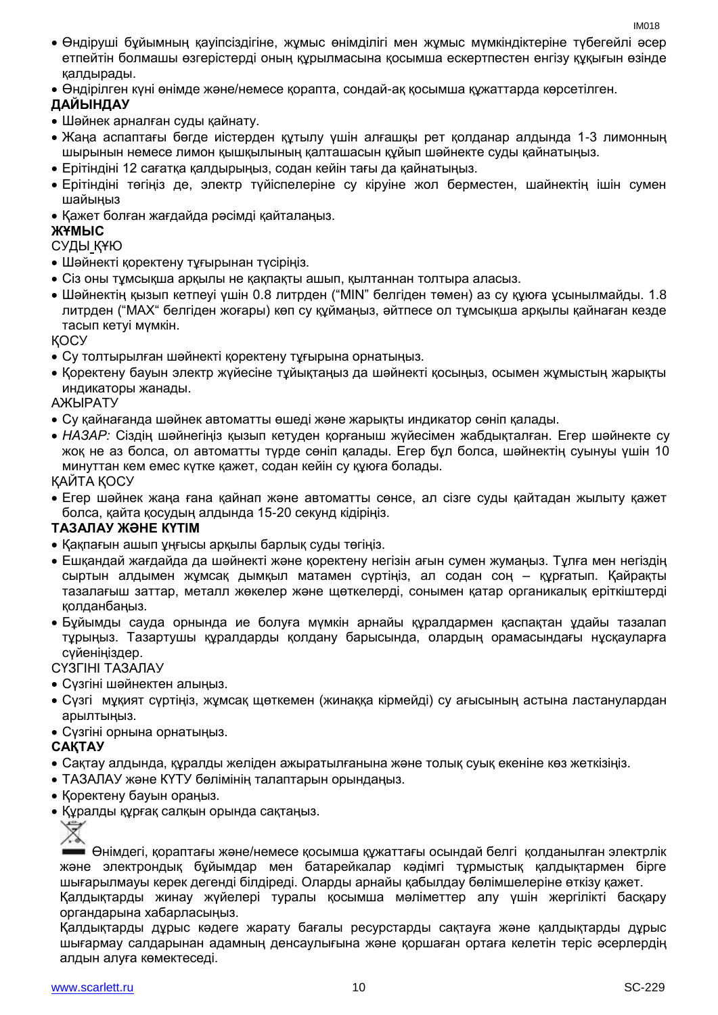- Өндіруші бұйымның қауіпсіздігіне, жұмыс өнімділігі мен жұмыс мүмкіндіктеріне түбегейлі әсер етпейтін болмашы өзгерістерді оның құрылмасына қосымша ескертпестен енгізу құқығын өзінде қалдырады.
- Өндірілген күні өнімде және/немесе қорапта, сондай-ақ қосымша құжаттарда көрсетілген.

#### **ДАЙЫНДАУ**

- Шәйнек арналған суды қайнату.
- Жаңа аспаптағы бөгде иістерден құтылу үшін алғашқы рет қолданар алдында 1-3 лимонның шырынын немесе лимон қышқылының қалташасын құйып шәйнекте суды қайнатыңыз.
- Ерітіндіні 12 сағатқа қалдырыңыз, содан кейін тағы да қайнатыңыз.
- Ерітіндіні төгіңіз де, электр түйіспелеріне су кіруіне жол берместен, шайнектің ішін сумен шайыңыз
- Қажет болған жағдайда рәсімді қайталаңыз.

#### **ЖҰМЫС**

#### СУДЫ ҚҰЮ

- Шәйнекті қоректену тұғырынан түсіріңіз.
- Сіз оны тұмсықша арқылы не қақпақты ашып, қылтаннан толтыра алаcыз.
- Шәйнектің қызып кетпеуі үшін 0.8 литрден ("MIN" белгіден төмен) аз су құюға ұсынылмайды. 1.8 литрден ("MAX" белгіден жоғары) көп су құймаңыз, әйтпесе ол тұмсықша арқылы қайнаған кезде тасып кетуі мүмкін.

ҚОСУ

- Су толтырылған шәйнекті қоректену тұғырына орнатыңыз.
- Қоректену бауын электр жүйесіне тұйықтаңыз да шәйнекті қосыңыз, осымен жұмыстың жарықты индикаторы жанады.

АЖЫРАТУ

- Су қайнағанда шәйнек автоматты өшеді және жарықты индикатор сөніп қалады.
- *НАЗАР:* Сіздің шәйнегіңіз қызып кетуден қорғаныш жүйесімен жабдықталған. Егер шәйнекте су жоқ не аз болса, ол автоматты түрде сөніп қалады. Егер бұл болса, шәйнектің суынуы үшін 10 минуттан кем емес күтке қажет, содан кейін су құюға болады.

ҚАЙТА ҚОСУ

 Егер шәйнек жаңа ғана қайнап және автоматты сөнсе, ал сізге суды қайтадан жылыту қажет болса, қайта қосудың алдында 15-20 секунд кідіріңіз.

#### **ТАЗАЛАУ ЖӘНЕ КҮТІМ**

- Қақпағын ашып ұңғысы арқылы барлық суды төгіңіз.
- Ешқандай жағдайда да шәйнекті және қоректену негізін ағын сумен жумаңыз. Тұлға мен негіздің сыртын алдымен жұмсақ дымқыл матамен сүртіңіз, ал содан соң – құрғатып. Қайрақты тазалағыш заттар, металл жөкелер және щөткелерді, сонымен қатар органикалық еріткіштерді қолданбаңыз.
- Бұйымды сауда орнында ие болуға мүмкін арнайы құралдармен қаспақтан ұдайы тазалап тұрыңыз. Тазартушы құралдарды қолдану барысында, олардың орамасындағы нұсқауларға сүйеніңіздер.

#### СҮЗГІНІ ТАЗАЛАУ

- Сүзгіні шәйнектен алыңыз.
- Сүзгі мұқият сүртіңіз, жұмсақ щөткемен (жинаққа кірмейді) су ағысының астына ластанулардан арылтыңыз.
- Сүзгіні орнына орнатыңыз.

#### **САҚТАУ**

- Cақтау алдында, құралды желіден ажыратылғанына және толық суық екеніне көз жеткізіңіз.
- ТАЗАЛАУ және КҮТУ бөлімінің талаптарын орындаңыз.
- Қоректену бауын ораңыз.
- Құралды құрғақ салқын орында сақтаңыз.



Өнімдегі, қораптағы және/немесе қосымша құжаттағы осындай белгі қолданылған электрлік және электрондық бұйымдар мен батарейкалар кәдімгі тұрмыстық қалдықтармен бірге шығарылмауы керек дегенді білдіреді. Оларды арнайы қабылдау бөлімшелеріне өткізу қажет. Қалдықтарды жинау жүйелері туралы қосымша мәліметтер алу үшін жергілікті басқару органдарына хабарласыңыз.

Қалдықтарды дұрыс кәдеге жарату бағалы ресурстарды сақтауға және қалдықтарды дұрыс шығармау салдарынан адамның денсаулығына және қоршаған ортаға келетін теріс әсерлердің алдын алуға көмектеседі.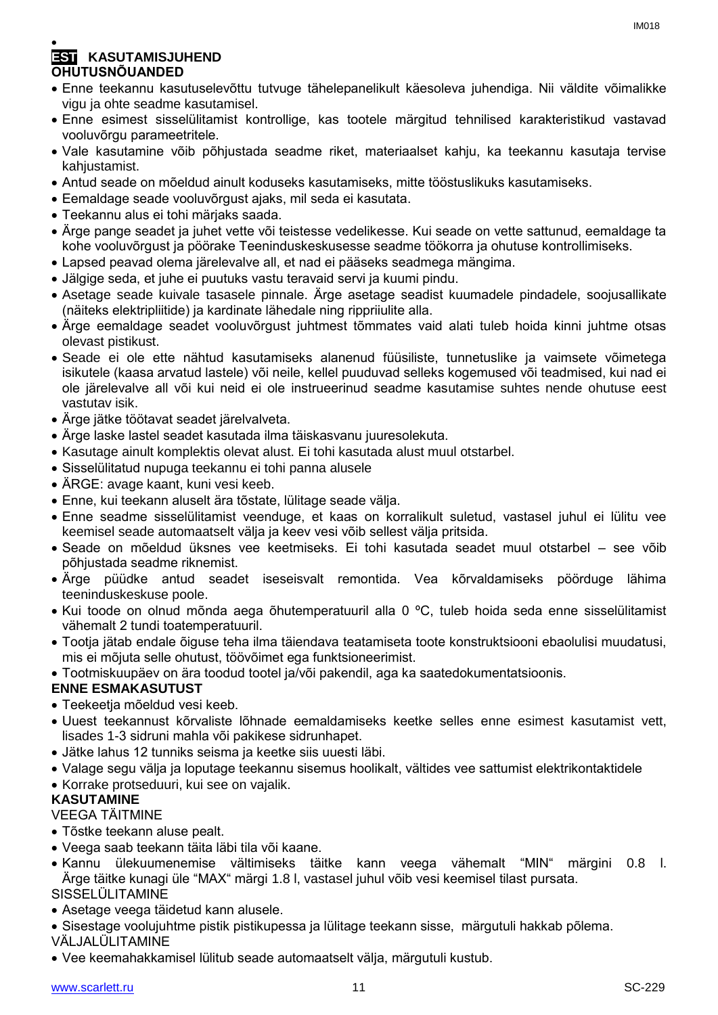#### $\bullet$ **EST KASUTAMISJUHEND OHUTUSNÕUANDED**

- Enne teekannu kasutuselevõttu tutvuge tähelepanelikult käesoleva juhendiga. Nii väldite võimalikke vigu ja ohte seadme kasutamisel.
- Enne esimest sisselülitamist kontrollige, kas tootele märgitud tehnilised karakteristikud vastavad vooluvõrgu parameetritele.
- Vale kasutamine võib põhjustada seadme riket, materiaalset kahju, ka teekannu kasutaja tervise kahjustamist.
- Antud seade on mõeldud ainult koduseks kasutamiseks, mitte tööstuslikuks kasutamiseks.
- Eemaldage seade vooluvõrgust ajaks, mil seda ei kasutata.
- Teekannu alus ei tohi märjaks saada.
- Ärge pange seadet ja juhet vette või teistesse vedelikesse. Kui seade on vette sattunud, eemaldage ta kohe vooluvõrgust ja pöörake Teeninduskeskusesse seadme töökorra ja ohutuse kontrollimiseks.
- Lapsed peavad olema järelevalve all, et nad ei pääseks seadmega mängima.
- Jälgige seda, et juhe ei puutuks vastu teravaid servi ja kuumi pindu.
- Asetage seade kuivale tasasele pinnale. Ärge asetage seadist kuumadele pindadele, soojusallikate (näiteks elektripliitide) ja kardinate lähedale ning rippriiulite alla.
- Ärge eemaldage seadet vooluvõrgust juhtmest tõmmates vaid alati tuleb hoida kinni juhtme otsas olevast pistikust.
- Seade ei ole ette nähtud kasutamiseks alanenud füüsiliste, tunnetuslike ja vaimsete võimetega isikutele (kaasa arvatud lastele) või neile, kellel puuduvad selleks kogemused või teadmised, kui nad ei ole järelevalve all või kui neid ei ole instrueerinud seadme kasutamise suhtes nende ohutuse eest vastutav isik.
- Ärge jätke töötavat seadet järelvalveta.
- Ärge laske lastel seadet kasutada ilma täiskasvanu juuresolekuta.
- Kasutage ainult komplektis olevat alust. Ei tohi kasutada alust muul otstarbel.
- Sisselülitatud nupuga teekannu ei tohi panna alusele
- ÄRGE: avage kaant, kuni vesi keeb.
- Enne, kui teekann aluselt ära tõstate, lülitage seade välja.
- Enne seadme sisselülitamist veenduge, et kaas on korralikult suletud, vastasel juhul ei lülitu vee keemisel seade automaatselt välja ja keev vesi võib sellest välja pritsida.
- Seade on mõeldud üksnes vee keetmiseks. Ei tohi kasutada seadet muul otstarbel see võib põhjustada seadme riknemist.
- Ärge püüdke antud seadet iseseisvalt remontida. Vea kõrvaldamiseks pöörduge lähima teeninduskeskuse poole.
- Kui toode on olnud mõnda aega õhutemperatuuril alla 0 ºC, tuleb hoida seda enne sisselülitamist vähemalt 2 tundi toatemperatuuril.
- Tootja jätab endale õiguse teha ilma täiendava teatamiseta toote konstruktsiooni ebaolulisi muudatusi, mis ei mõjuta selle ohutust, töövõimet ega funktsioneerimist.

Tootmiskuupäev on ära toodud tootel ja/või pakendil, aga ka saatedokumentatsioonis.

#### **ENNE ESMAKASUTUST**

- Teekeetja mõeldud vesi keeb.
- Uuest teekannust kõrvaliste lõhnade eemaldamiseks keetke selles enne esimest kasutamist vett, lisades 1-3 sidruni mahla või pakikese sidrunhapet.
- Jätke lahus 12 tunniks seisma ja keetke siis uuesti läbi.
- Valage segu välja ja loputage teekannu sisemus hoolikalt, vältides vee sattumist elektrikontaktidele
- Korrake protseduuri, kui see on vajalik.

#### **KASUTAMINE**

#### VEEGA TÄITMINE

- Tõstke teekann aluse pealt.
- Veega saab teekann täita läbi tila või kaane.
- Kannu ülekuumenemise vältimiseks täitke kann veega vähemalt "MIN" märgini 0.8 l. Ärge täitke kunagi üle "MAX" märgi 1.8 l, vastasel juhul võib vesi keemisel tilast pursata. SISSELÜLITAMINE
- Asetage veega täidetud kann alusele.
- Sisestage voolujuhtme pistik pistikupessa ja lülitage teekann sisse, märgutuli hakkab põlema. VÄLJALÜLITAMINE
- Vee keemahakkamisel lülitub seade automaatselt välja, märgutuli kustub.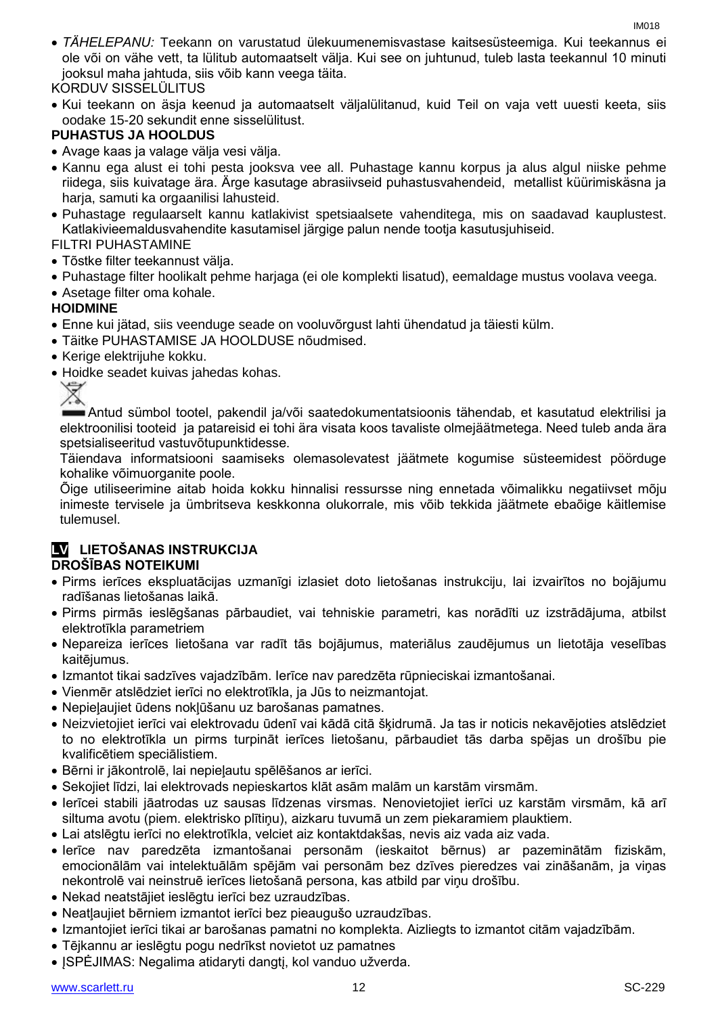*TÄHELEPANU:* Teekann on varustatud ülekuumenemisvastase kaitsesüsteemiga. Kui teekannus ei ole või on vähe vett, ta lülitub automaatselt välja. Kui see on juhtunud, tuleb lasta teekannul 10 minuti jooksul maha jahtuda, siis võib kann veega täita.

#### KORDUV SISSELÜLITUS

 Kui teekann on äsja keenud ja automaatselt väljalülitanud, kuid Teil on vaja vett uuesti keeta, siis oodake 15-20 sekundit enne sisselülitust.

#### **PUHASTUS JA HOOLDUS**

- Avage kaas ja valage välja vesi välja.
- Kannu ega alust ei tohi pesta jooksva vee all. Puhastage kannu korpus ja alus algul niiske pehme riidega, siis kuivatage ära. Ärge kasutage abrasiivseid puhastusvahendeid, metallist küürimiskäsna ja harja, samuti ka orgaanilisi lahusteid.
- Puhastage regulaarselt kannu katlakivist spetsiaalsete vahenditega, mis on saadavad kauplustest. Katlakivieemaldusvahendite kasutamisel järgige palun nende tootja kasutusjuhiseid.

#### FILTRI PUHASTAMINE

- Tõstke filter teekannust välja.
- Puhastage filter hoolikalt pehme harjaga (ei ole komplekti lisatud), eemaldage mustus voolava veega.
- Asetage filter oma kohale.

#### **HOIDMINE**

- Enne kui jätad, siis veenduge seade on vooluvõrgust lahti ühendatud ja täiesti külm.
- Täitke PUHASTAMISE JA HOOLDUSE nõudmised.
- Kerige elektrijuhe kokku.
- Hoidke seadet kuivas jahedas kohas.<br>
X

Antud sümbol tootel, pakendil ja/või saatedokumentatsioonis tähendab, et kasutatud elektrilisi ja elektroonilisi tooteid ja patareisid ei tohi ära visata koos tavaliste olmejäätmetega. Need tuleb anda ära spetsialiseeritud vastuvõtupunktidesse.

Täiendava informatsiooni saamiseks olemasolevatest jäätmete kogumise süsteemidest pöörduge kohalike võimuorganite poole.

Õige utiliseerimine aitab hoida kokku hinnalisi ressursse ning ennetada võimalikku negatiivset mõju inimeste tervisele ja ümbritseva keskkonna olukorrale, mis võib tekkida jäätmete ebaõige käitlemise tulemusel.

#### **LV LIETOŠANAS INSTRUKCIJA DROŠĪBAS NOTEIKUMI**

- Pirms ierīces ekspluatācijas uzmanīgi izlasiet doto lietošanas instrukciju, lai izvairītos no bojājumu radīšanas lietošanas laikā.
- Pirms pirmās ieslēgšanas pārbaudiet, vai tehniskie parametri, kas norādīti uz izstrādājuma, atbilst elektrotīkla parametriem
- Nepareiza ierīces lietošana var radīt tās bojājumus, materiālus zaudējumus un lietotāja veselības kaitējumus.
- Izmantot tikai sadzīves vajadzībām. Ierīce nav paredzēta rūpnieciskai izmantošanai.
- Vienmēr atslēdziet ierīci no elektrotīkla, ja Jūs to neizmantojat.
- Nepieļaujiet ūdens nokļūšanu uz barošanas pamatnes.
- Neizvietojiet ierīci vai elektrovadu ūdenī vai kādā citā šķidrumā. Ja tas ir noticis nekavējoties atslēdziet to no elektrotīkla un pirms turpināt ierīces lietošanu, pārbaudiet tās darba spējas un drošību pie kvalificētiem speciālistiem.
- Bērni ir jākontrolē, lai nepieļautu spēlēšanos ar ierīci.
- Sekojiet līdzi, lai elektrovads nepieskartos klāt asām malām un karstām virsmām.
- Ierīcei stabili jāatrodas uz sausas līdzenas virsmas. Nenovietojiet ierīci uz karstām virsmām, kā arī siltuma avotu (piem. elektrisko plītiņu), aizkaru tuvumā un zem piekaramiem plauktiem.
- Lai atslēgtu ierīci no elektrotīkla, velciet aiz kontaktdakšas, nevis aiz vada aiz vada.
- Ierīce nav paredzēta izmantošanai personām (ieskaitot bērnus) ar pazeminātām fiziskām, emocionālām vai intelektuālām spējām vai personām bez dzīves pieredzes vai zināšanām, ja viņas nekontrolē vai neinstruē ierīces lietošanā persona, kas atbild par viņu drošību.
- Nekad neatstājiet ieslēgtu ierīci bez uzraudzības.
- Neatļaujiet bērniem izmantot ierīci bez pieaugušo uzraudzības.
- Izmantojiet ierīci tikai ar barošanas pamatni no komplekta. Aizliegts to izmantot citām vajadzībām.
- Tējkannu ar ieslēgtu pogu nedrīkst novietot uz pamatnes
- ISPĖJIMAS: Negalima atidaryti dangti, kol vanduo užverda.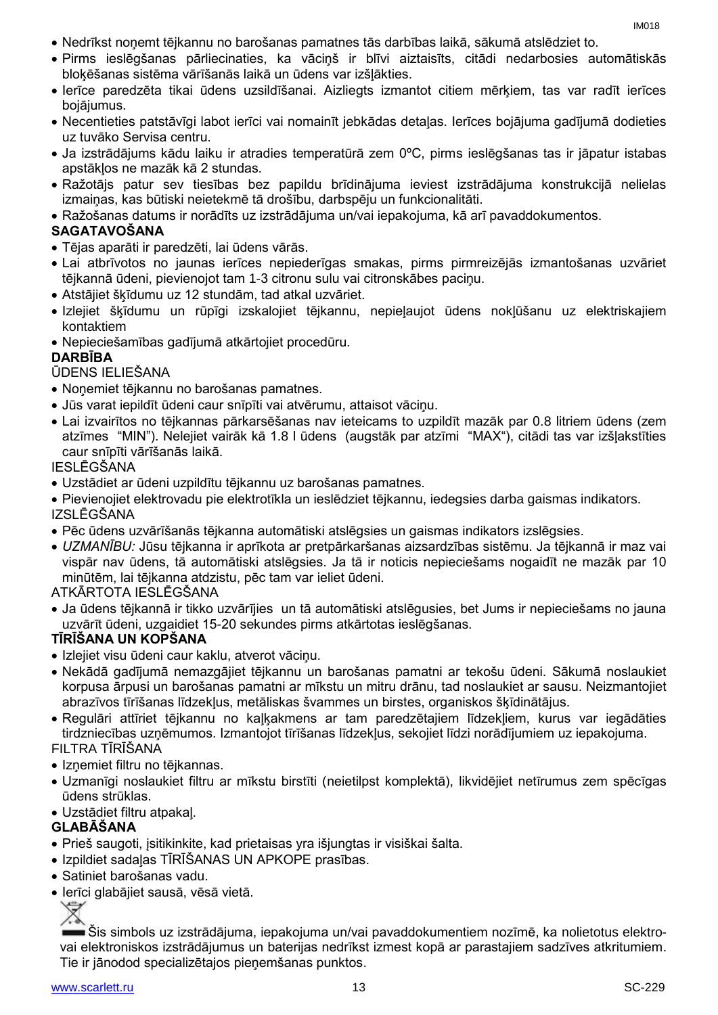- Nedrīkst noņemt tējkannu no barošanas pamatnes tās darbības laikā, sākumā atslēdziet to.
- Pirms ieslēgšanas pārliecinaties, ka vāciņš ir blīvi aiztaisīts, citādi nedarbosies automātiskās bloķēšanas sistēma vārīšanās laikā un ūdens var izšļākties.
- Ierīce paredzēta tikai ūdens uzsildīšanai. Aizliegts izmantot citiem mērķiem, tas var radīt ierīces bojājumus.
- Necentieties patstāvīgi labot ierīci vai nomainīt jebkādas detaļas. Ierīces bojājuma gadījumā dodieties uz tuvāko Servisa centru.
- Ja izstrādājums kādu laiku ir atradies temperatūrā zem 0ºC, pirms ieslēgšanas tas ir jāpatur istabas apstākļos ne mazāk kā 2 stundas.
- Ražotājs patur sev tiesības bez papildu brīdinājuma ieviest izstrādājuma konstrukcijā nelielas izmaiņas, kas būtiski neietekmē tā drošību, darbspēju un funkcionalitāti.
- Ražošanas datums ir norādīts uz izstrādājuma un/vai iepakojuma, kā arī pavaddokumentos.

#### **SAGATAVOŠANA**

- Tējas aparāti ir paredzēti, lai ūdens vārās.
- Lai atbrīvotos no jaunas ierīces nepiederīgas smakas, pirms pirmreizējās izmantošanas uzvāriet tējkannā ūdeni, pievienojot tam 1-3 citronu sulu vai citronskābes paciņu.
- Atstājiet šķīdumu uz 12 stundām, tad atkal uzvāriet.
- Izlejiet šķīdumu un rūpīgi izskalojiet tējkannu, nepieļaujot ūdens nokļūšanu uz elektriskajiem kontaktiem
- Nepieciešamības gadījumā atkārtojiet procedūru.

#### **DARBĪBA**

#### ŪDENS IELIEŠANA

- Noņemiet tējkannu no barošanas pamatnes.
- Jūs varat iepildīt ūdeni caur snīpīti vai atvērumu, attaisot vāciņu.
- Lai izvairītos no tējkannas pārkarsēšanas nav ieteicams to uzpildīt mazāk par 0.8 litriem ūdens (zem atzīmes "MIN"). Nelejiet vairāk kā 1.8 l ūdens (augstāk par atzīmi "MAX"), citādi tas var izšļakstīties caur snīpīti vārīšanās laikā.

#### IESLĒGŠANA

- Uzstādiet ar ūdeni uzpildītu tējkannu uz barošanas pamatnes.
- Pievienojiet elektrovadu pie elektrotīkla un ieslēdziet tējkannu, iedegsies darba gaismas indikators. IZSLĒGŠANA
- Pēc ūdens uzvārīšanās tējkanna automātiski atslēgsies un gaismas indikators izslēgsies.
- *UZMANĪBU:* Jūsu tējkanna ir aprīkota ar pretpārkaršanas aizsardzības sistēmu. Ja tējkannā ir maz vai vispār nav ūdens, tā automātiski atslēgsies. Ja tā ir noticis nepieciešams nogaidīt ne mazāk par 10 minūtēm, lai tējkanna atdzistu, pēc tam var ieliet ūdeni.

ATKĀRTOTA IESLĒGŠANA

 Ja ūdens tējkannā ir tikko uzvārījies un tā automātiski atslēgusies, bet Jums ir nepieciešams no jauna uzvārīt ūdeni, uzgaidiet 15-20 sekundes pirms atkārtotas ieslēgšanas.

#### **TĪRĪŠANA UN KOPŠANA**

- Izlejiet visu ūdeni caur kaklu, atverot vācinu.
- Nekādā gadījumā nemazgājiet tējkannu un barošanas pamatni ar tekošu ūdeni. Sākumā noslaukiet korpusa ārpusi un barošanas pamatni ar mīkstu un mitru drānu, tad noslaukiet ar sausu. Neizmantojiet abrazīvos tīrīšanas līdzekļus, metāliskas švammes un birstes, organiskos šķīdinātājus.
- Regulāri attīriet tējkannu no kaļķakmens ar tam paredzētajiem līdzekļiem, kurus var iegādāties tirdzniecības uzņēmumos. Izmantojot tīrīšanas līdzekļus, sekojiet līdzi norādījumiem uz iepakojuma.

#### FILTRA TĪRĪŠANA

- Iznemiet filtru no tējkannas.
- Uzmanīgi noslaukiet filtru ar mīkstu birstīti (neietilpst komplektā), likvidējiet netīrumus zem spēcīgas ūdens strūklas.
- Uzstādiet filtru atpakaļ.

#### **GLABĀŠANA**

- Prieš saugoti, įsitikinkite, kad prietaisas yra išjungtas ir visiškai šalta.
- Izpildiet sadaļas TĪRĪŠANAS UN APKOPE prasības.
- Satiniet barošanas vadu.
- Ierīci glabājiet sausā, vēsā vietā.

Šis simbols uz izstrādājuma, iepakojuma un/vai pavaddokumentiem nozīmē, ka nolietotus elektrovai elektroniskos izstrādājumus un baterijas nedrīkst izmest kopā ar parastajiem sadzīves atkritumiem. Tie ir jānodod specializētajos pieņemšanas punktos.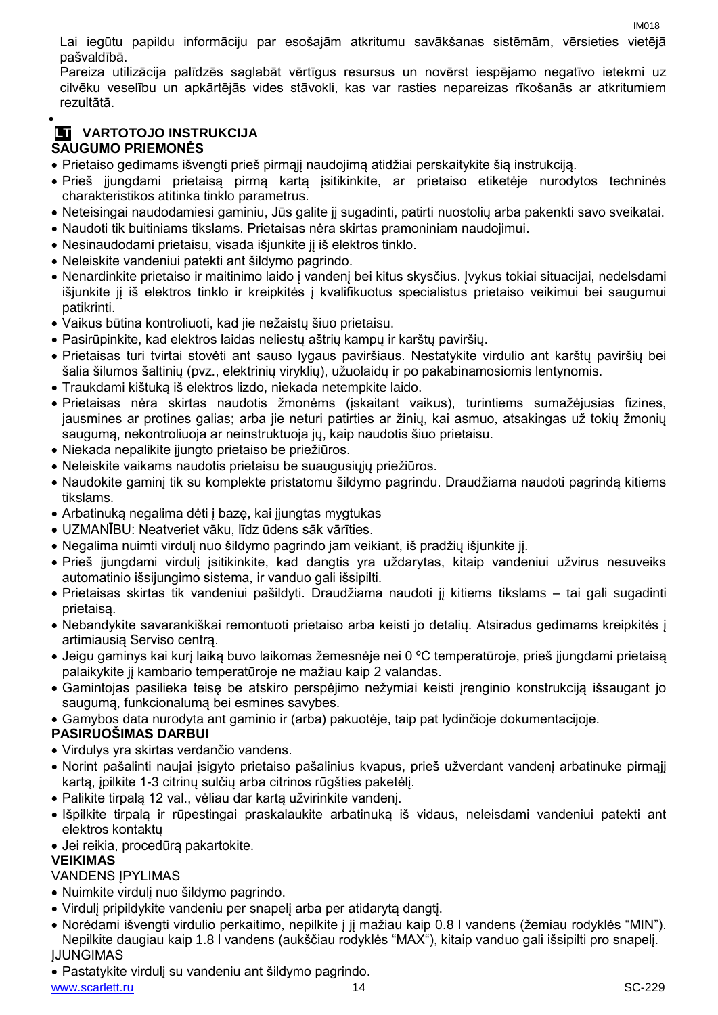IM018 Lai iegūtu papildu informāciju par esošajām atkritumu savākšanas sistēmām, vērsieties vietējā pašvaldībā.

Pareiza utilizācija palīdzēs saglabāt vērtīgus resursus un novērst iespējamo negatīvo ietekmi uz cilvēku veselību un apkārtējās vides stāvokli, kas var rasties nepareizas rīkošanās ar atkritumiem rezultātā.

#### $\bullet$ **LT VARTOTOJO INSTRUKCIJA SAUGUMO PRIEMONĖS**

- Prietaiso gedimams išvengti prieš pirmąjį naudojimą atidžiai perskaitykite šią instrukciją.
- Prieš įjungdami prietaisą pirmą kartą įsitikinkite, ar prietaiso etiketėje nurodytos techninės charakteristikos atitinka tinklo parametrus.
- Neteisingai naudodamiesi gaminiu, Jūs galite jį sugadinti, patirti nuostolių arba pakenkti savo sveikatai.
- Naudoti tik buitiniams tikslams. Prietaisas nėra skirtas pramoniniam naudojimui.
- Nesinaudodami prietaisu, visada išjunkite jį iš elektros tinklo.
- Neleiskite vandeniui patekti ant šildymo pagrindo.
- Nenardinkite prietaiso ir maitinimo laido į vandenį bei kitus skysčius. Įvykus tokiai situacijai, nedelsdami išjunkite jį iš elektros tinklo ir kreipkitės į kvalifikuotus specialistus prietaiso veikimui bei saugumui patikrinti.
- Vaikus būtina kontroliuoti, kad jie nežaistų šiuo prietaisu.
- Pasirūpinkite, kad elektros laidas neliestų aštrių kampų ir karštų paviršių.
- Prietaisas turi tvirtai stovėti ant sauso lygaus paviršiaus. Nestatykite virdulio ant karštų paviršių bei šalia šilumos šaltinių (pvz., elektrinių viryklių), užuolaidų ir po pakabinamosiomis lentynomis.
- Traukdami kištuką iš elektros lizdo, niekada netempkite laido.
- Prietaisas nėra skirtas naudotis žmonėms (įskaitant vaikus), turintiems sumažėjusias fizines, jausmines ar protines galias; arba jie neturi patirties ar žinių, kai asmuo, atsakingas už tokių žmonių saugumą, nekontroliuoja ar neinstruktuoja jų, kaip naudotis šiuo prietaisu.
- Niekada nepalikite įjungto prietaiso be priežiūros.
- Neleiskite vaikams naudotis prietaisu be suaugusiųjų priežiūros.
- Naudokite gaminį tik su komplekte pristatomu šildymo pagrindu. Draudžiama naudoti pagrindą kitiems tikslams.
- Arbatinuką negalima dėti į bazę, kai įjungtas mygtukas
- UZMANĪBU: Neatveriet vāku, līdz ūdens sāk vārīties.
- Negalima nuimti virdulį nuo šildymo pagrindo jam veikiant, iš pradžių išjunkite jį.
- Prieš įjungdami virdulį įsitikinkite, kad dangtis yra uždarytas, kitaip vandeniui užvirus nesuveiks automatinio išsijungimo sistema, ir vanduo gali išsipilti.
- Prietaisas skirtas tik vandeniui pašildyti. Draudžiama naudoti jį kitiems tikslams tai gali sugadinti prietaisą.
- Nebandykite savarankiškai remontuoti prietaiso arba keisti jo detalių. Atsiradus gedimams kreipkitės į artimiausią Serviso centrą.
- Jeigu gaminys kai kurį laiką buvo laikomas žemesnėje nei 0 °C temperatūroje, prieš įjungdami prietaisą palaikykite jį kambario temperatūroje ne mažiau kaip 2 valandas.
- Gamintojas pasilieka teisę be atskiro perspėjimo nežymiai keisti įrenginio konstrukciją išsaugant jo saugumą, funkcionalumą bei esmines savybes.
- Gamybos data nurodyta ant gaminio ir (arba) pakuotėje, taip pat lydinčioje dokumentacijoje.

#### **PASIRUOŠIMAS DARBUI**

- Virdulys yra skirtas verdančio vandens.
- Norint pašalinti naujai įsigyto prietaiso pašalinius kvapus, prieš užverdant vandenį arbatinuke pirmąjį kartą, įpilkite 1-3 citrinų sulčių arba citrinos rūgšties paketėlį.
- Palikite tirpalą 12 val., vėliau dar kartą užvirinkite vandenį.
- Išpilkite tirpalą ir rūpestingai praskalaukite arbatinuką iš vidaus, neleisdami vandeniui patekti ant elektros kontaktų
- Jei reikia, procedūrą pakartokite.

#### **VEIKIMAS**

#### **VANDENS IPYLIMAS**

- Nuimkite virdulį nuo šildymo pagrindo.
- Virdulį pripildykite vandeniu per snapelį arba per atidarytą dangtį.
- Norėdami išvengti virdulio perkaitimo, nepilkite į jį mažiau kaip 0.8 l vandens (žemiau rodyklės "MIN"). Nepilkite daugiau kaip 1.8 l vandens (aukščiau rodyklės "MAX"), kitaip vanduo gali išsipilti pro snapelį. ĮJUNGIMAS
- Pastatykite virdulį su vandeniu ant šildymo pagrindo.

www.scarlett.ru SC-229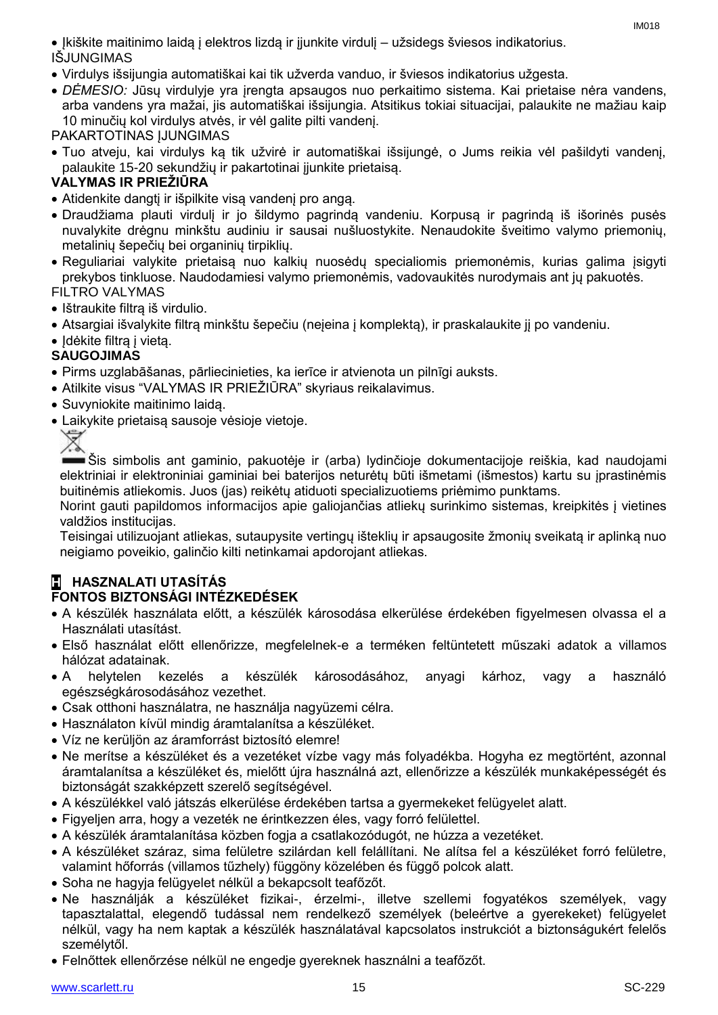Įkiškite maitinimo laidą į elektros lizdą ir įjunkite virdulį – užsidegs šviesos indikatorius. IŠJUNGIMAS

- Virdulys išsijungia automatiškai kai tik užverda vanduo, ir šviesos indikatorius užgesta.
- *DĖMESIO:* Jūsų virdulyje yra įrengta apsaugos nuo perkaitimo sistema. Kai prietaise nėra vandens, arba vandens yra mažai, jis automatiškai išsijungia. Atsitikus tokiai situacijai, palaukite ne mažiau kaip 10 minučių kol virdulys atvės, ir vėl galite pilti vandenį.

PAKARTOTINAS ĮJUNGIMAS

 Tuo atveju, kai virdulys ką tik užvirė ir automatiškai išsijungė, o Jums reikia vėl pašildyti vandenį, palaukite 15-20 sekundžių ir pakartotinai įjunkite prietaisą.

#### **VALYMAS IR PRIEŽIŪRA**

- Atidenkite dangtį ir išpilkite visą vandenį pro angą.
- Draudžiama plauti virdulį ir jo šildymo pagrindą vandeniu. Korpusą ir pagrindą iš išorinės pusės nuvalykite drėgnu minkštu audiniu ir sausai nušluostykite. Nenaudokite šveitimo valymo priemonių, metalinių šepečių bei organinių tirpiklių.
- Reguliariai valykite prietaisą nuo kalkių nuosėdų specialiomis priemonėmis, kurias galima įsigyti prekybos tinkluose. Naudodamiesi valymo priemonėmis, vadovaukitės nurodymais ant jų pakuotės. FILTRO VALYMAS
- Ištraukite filtra iš virdulio.
- Atsargiai išvalykite filtrą minkštu šepečiu (neįeina į komplektą), ir praskalaukite jį po vandeniu.
- Idėkite filtra į vieta.

#### **SAUGOJIMAS**

- Pirms uzglabāšanas, pārliecinieties, ka ierīce ir atvienota un pilnīgi auksts.
- Atilkite visus "VALYMAS IR PRIEŽIŪRA" skyriaus reikalavimus.
- Suvyniokite maitinimo laidą.
- Laikykite prietaisą sausoje vėsioje vietoje.



Šis simbolis ant gaminio, pakuotėje ir (arba) lydinčioje dokumentacijoje reiškia, kad naudojami elektriniai ir elektroniniai gaminiai bei baterijos neturėtų būti išmetami (išmestos) kartu su įprastinėmis buitinėmis atliekomis. Juos (jas) reikėtų atiduoti specializuotiems priėmimo punktams.

Norint gauti papildomos informacijos apie galiojančias atliekų surinkimo sistemas, kreipkitės į vietines valdžios institucijas.

Teisingai utilizuojant atliekas, sutaupysite vertingų išteklių ir apsaugosite žmonių sveikatą ir aplinką nuo neigiamo poveikio, galinčio kilti netinkamai apdorojant atliekas.

## **H HASZNALATI UTASÍTÁS**

#### **FONTOS BIZTONSÁGI INTÉZKEDÉSEK**

- A készülék használata előtt, a készülék károsodása elkerülése érdekében figyelmesen olvassa el a Használati utasítást.
- Első használat előtt ellenőrizze, megfelelnek-e a terméken feltüntetett műszaki adatok a villamos hálózat adatainak.
- A helytelen kezelés a készülék károsodásához, anyagi kárhoz, vagy a használó egészségkárosodásához vezethet.
- Csak otthoni használatra, ne használja nagyüzemi célra.
- Használaton kívül mindig áramtalanítsa a készüléket.
- Víz ne kerüljön az áramforrást biztosító elemre!
- Ne merítse a készüléket és a vezetéket vízbe vagy más folyadékba. Hogyha ez megtörtént, azonnal áramtalanítsa a készüléket és, mielőtt újra használná azt, ellenőrizze a készülék munkaképességét és biztonságát szakképzett szerelő segítségével.
- A készülékkel való játszás elkerülése érdekében tartsa a gyermekeket felügyelet alatt.
- Figyeljen arra, hogy a vezeték ne érintkezzen éles, vagy forró felülettel.
- A készülék áramtalanítása közben fogja a csatlakozódugót, ne húzza a vezetéket.
- A készüléket száraz, sima felületre szilárdan kell felállítani. Ne alítsa fel a készüléket forró felületre, valamint hőforrás (villamos tűzhely) függöny közelében és függő polcok alatt.
- Soha ne hagyja felügyelet nélkül a bekapcsolt teafőzőt.
- Ne használják a készüléket fizikai-, érzelmi-, illetve szellemi fogyatékos személyek, vagy tapasztalattal, elegendő tudással nem rendelkező személyek (beleértve a gyerekeket) felügyelet nélkül, vagy ha nem kaptak a készülék használatával kapcsolatos instrukciót a biztonságukért felelős személytől.
- Felnőttek ellenőrzése nélkül ne engedje gyereknek használni a teafőzőt.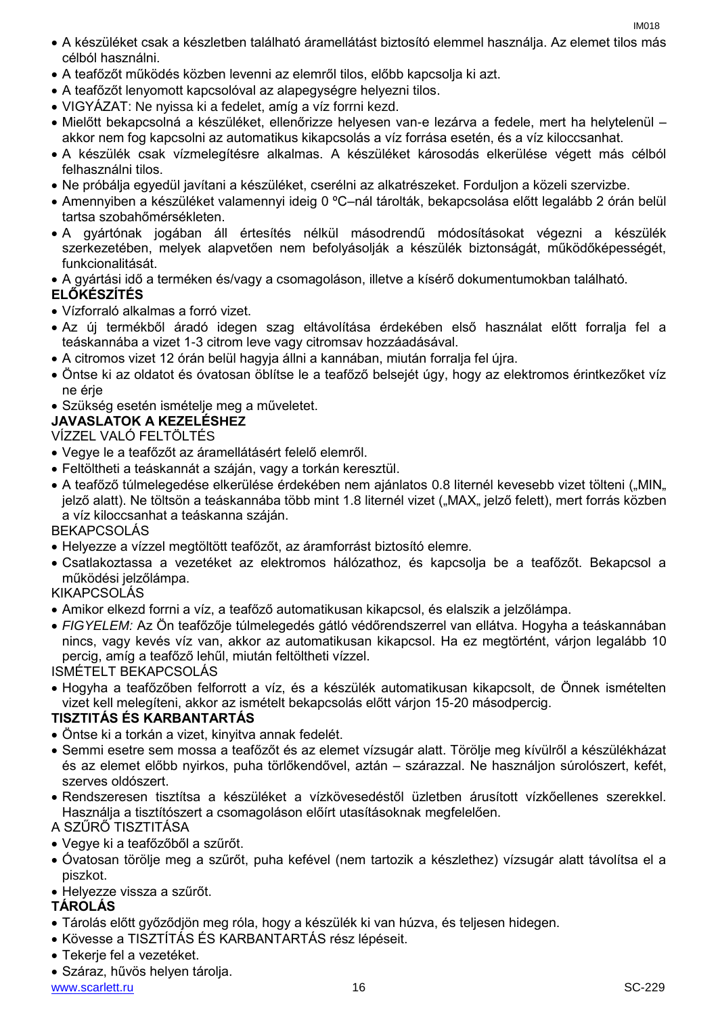- A készüléket csak a készletben található áramellátást biztosító elemmel használja. Az elemet tilos más célból használni.
- A teafőzőt működés közben levenni az elemről tilos, előbb kapcsolja ki azt.
- A teafőzőt lenyomott kapcsolóval az alapegységre helyezni tilos.
- VIGYÁZAT: Ne nyissa ki a fedelet, amíg a víz forrni kezd.
- Mielőtt bekapcsolná a készüléket, ellenőrizze helyesen van-e lezárva a fedele, mert ha helytelenül akkor nem fog kapcsolni az automatikus kikapcsolás a víz forrása esetén, és a víz kiloccsanhat.
- A készülék csak vízmelegítésre alkalmas. A készüléket károsodás elkerülése végett más célból felhasználni tilos.
- Ne próbálja egyedül javítani a készüléket, cserélni az alkatrészeket. Forduljon a közeli szervizbe.
- Amennyiben a készüléket valamennyi ideig 0 ºC–nál tárolták, bekapcsolása előtt legalább 2 órán belül tartsa szobahőmérsékleten.
- A gyártónak jogában áll értesítés nélkül másodrendű módosításokat végezni a készülék szerkezetében, melyek alapvetően nem befolyásolják a készülék biztonságát, működőképességét, funkcionalitását.
- A gyártási idő a terméken és/vagy a csomagoláson, illetve a kísérő dokumentumokban található.

#### **ELŐKÉSZÍTÉS**

- Vízforraló alkalmas a forró vizet.
- Az új termékből áradó idegen szag eltávolítása érdekében első használat előtt forralja fel a teáskannába a vizet 1-3 citrom leve vagy citromsav hozzáadásával.
- A citromos vizet 12 órán belül hagyja állni a kannában, miután forralja fel újra.
- Öntse ki az oldatot és óvatosan öblítse le a teafőző belsejét úgy, hogy az elektromos érintkezőket víz ne érje
- Szükség esetén ismételje meg a műveletet.
- **JAVASLATOK A KEZELÉSHEZ**

#### VÍZZEL VALÓ FELTÖLTÉS

- Vegye le a teafőzőt az áramellátásért felelő elemről.
- Feltöltheti a teáskannát a száján, vagy a torkán keresztül.
- A teafőző túlmelegedése elkerülése érdekében nem ajánlatos 0.8 liternél kevesebb vizet tölteni ("MIN" jelző alatt). Ne töltsön a teáskannába több mint 1.8 liternél vizet ("MAX" jelző felett), mert forrás közben a víz kiloccsanhat a teáskanna száján.

#### BEKAPCSOLÁS

- Helyezze a vízzel megtöltött teafőzőt, az áramforrást biztosító elemre.
- Csatlakoztassa a vezetéket az elektromos hálózathoz, és kapcsolja be a teafőzőt. Bekapcsol a működési jelzőlámpa.

#### KIKAPCSOLÁS

- Amikor elkezd forrni a víz, a teafőző automatikusan kikapcsol, és elalszik a jelzőlámpa.
- *FIGYELEM:* Az Ön teafőzője túlmelegedés gátló védőrendszerrel van ellátva. Hogyha a teáskannában nincs, vagy kevés víz van, akkor az automatikusan kikapcsol. Ha ez megtörtént, várjon legalább 10 percig, amíg a teafőző lehűl, miután feltöltheti vízzel.

ISMÉTELT BEKAPCSOLÁS

 Hogyha a teafőzőben felforrott a víz, és a készülék automatikusan kikapcsolt, de Önnek ismételten vizet kell melegíteni, akkor az ismételt bekapcsolás előtt várjon 15-20 másodpercig.

#### **TISZTITÁS ÉS KARBANTARTÁS**

- Öntse ki a torkán a vizet, kinyitva annak fedelét.
- Semmi esetre sem mossa a teafőzőt és az elemet vízsugár alatt. Törölje meg kívülről a készülékházat és az elemet előbb nyirkos, puha törlőkendővel, aztán – szárazzal. Ne használjon súrolószert, kefét, szerves oldószert.
- Rendszeresen tisztítsa a készüléket a vízkövesedéstől üzletben árusított vízkőellenes szerekkel. Használja a tisztítószert a csomagoláson előírt utasításoknak megfelelően.

#### A SZŰRŐ TISZTITÁSA

- Vegye ki a teafőzőből a szűrőt.
- Óvatosan törölje meg a szűrőt, puha kefével (nem tartozik a készlethez) vízsugár alatt távolítsa el a piszkot.
- Helyezze vissza a szűrőt.

#### **TÁROLÁS**

- Tárolás előtt győződjön meg róla, hogy a készülék ki van húzva, és teljesen hidegen.
- Kövesse a TISZTÍTÁS ÉS KARBANTARTÁS rész lépéseit.
- Tekerje fel a vezetéket.
- Száraz, hűvös helyen tárolja.

www.scarlett.ru SC-229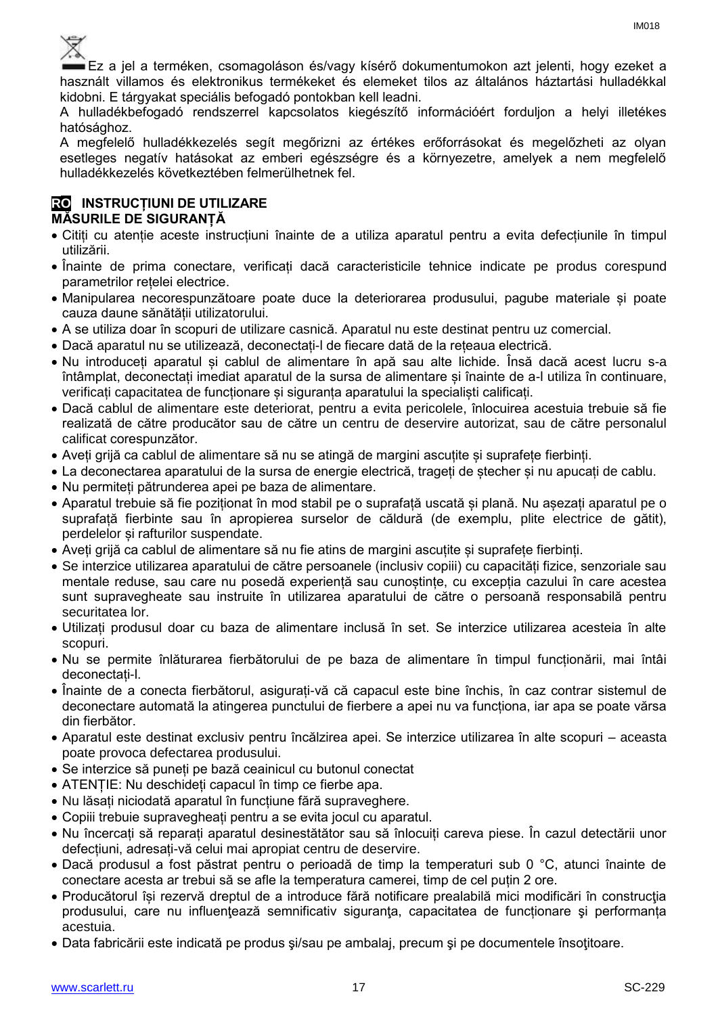Ez a jel a terméken, csomagoláson és/vagy kísérő dokumentumokon azt jelenti, hogy ezeket a használt villamos és elektronikus termékeket és elemeket tilos az általános háztartási hulladékkal kidobni. E tárgyakat speciális befogadó pontokban kell leadni.

A hulladékbefogadó rendszerrel kapcsolatos kiegészítő információért forduljon a helyi illetékes hatósághoz.

A megfelelő hulladékkezelés segít megőrizni az értékes erőforrásokat és megelőzheti az olyan esetleges negatív hatásokat az emberi egészségre és a környezetre, amelyek a nem megfelelő hulladékkezelés következtében felmerülhetnek fel.

#### **RO INSTRUCȚIUNI DE UTILIZARE MĂSURILE DE SIGURANȚĂ**

- Citiți cu atenție aceste instrucțiuni înainte de a utiliza aparatul pentru a evita defecțiunile în timpul utilizării.
- Înainte de prima conectare, verificați dacă caracteristicile tehnice indicate pe produs corespund parametrilor rețelei electrice.
- Manipularea necorespunzătoare poate duce la deteriorarea produsului, pagube materiale și poate cauza daune sănătății utilizatorului.
- A se utiliza doar în scopuri de utilizare casnică. Aparatul nu este destinat pentru uz comercial.
- Dacă aparatul nu se utilizează, deconectați-l de fiecare dată de la rețeaua electrică.
- Nu introduceți aparatul și cablul de alimentare în apă sau alte lichide. Însă dacă acest lucru s-a întâmplat, deconectați imediat aparatul de la sursa de alimentare și înainte de a-l utiliza în continuare, verificați capacitatea de funcționare și siguranța aparatului la specialiști calificați.
- Dacă cablul de alimentare este deteriorat, pentru a evita pericolele, înlocuirea acestuia trebuie să fie realizată de către producător sau de către un centru de deservire autorizat, sau de către personalul calificat corespunzător.
- Aveți grijă ca cablul de alimentare să nu se atingă de margini ascuțite și suprafețe fierbinți.
- La deconectarea aparatului de la sursa de energie electrică, trageți de ștecher și nu apucați de cablu.
- Nu permiteți pătrunderea apei pe baza de alimentare.
- Aparatul trebuie să fie poziționat în mod stabil pe o suprafață uscată și plană. Nu așezați aparatul pe o suprafață fierbinte sau în apropierea surselor de căldură (de exemplu, plite electrice de gătit), perdelelor și rafturilor suspendate.
- Aveți grijă ca cablul de alimentare să nu fie atins de margini ascuțite și suprafețe fierbinți.
- Se interzice utilizarea aparatului de către persoanele (inclusiv copiii) cu capacități fizice, senzoriale sau mentale reduse, sau care nu posedă experiență sau cunoștințe, cu excepția cazului în care acestea sunt supravegheate sau instruite în utilizarea aparatului de către o persoană responsabilă pentru securitatea lor.
- Utilizați produsul doar cu baza de alimentare inclusă în set. Se interzice utilizarea acesteia în alte scopuri.
- Nu se permite înlăturarea fierbătorului de pe baza de alimentare în timpul funcționării, mai întâi deconectați-l.
- Înainte de a conecta fierbătorul, asigurați-vă că capacul este bine închis, în caz contrar sistemul de deconectare automată la atingerea punctului de fierbere a apei nu va funcționa, iar apa se poate vărsa din fierbător.
- Aparatul este destinat exclusiv pentru încălzirea apei. Se interzice utilizarea în alte scopuri aceasta poate provoca defectarea produsului.
- Se interzice să puneți pe bază ceainicul cu butonul conectat
- ATENȚIE: Nu deschideți capacul în timp ce fierbe apa.
- Nu lăsați niciodată aparatul în funcțiune fără supraveghere.
- Copiii trebuie supravegheați pentru a se evita jocul cu aparatul.
- Nu încercați să reparați aparatul desinestătător sau să înlocuiți careva piese. În cazul detectării unor defecțiuni, adresați-vă celui mai apropiat centru de deservire.
- Dacă produsul a fost păstrat pentru o perioadă de timp la temperaturi sub 0 °C, atunci înainte de conectare acesta ar trebui să se afle la temperatura camerei, timp de cel puțin 2 ore.
- Producătorul își rezervă dreptul de a introduce fără notificare prealabilă mici modificări în construcţia produsului, care nu influenţează semnificativ siguranţa, capacitatea de funcționare şi performanța acestuia.
- Data fabricării este indicată pe produs şi/sau pe ambalaj, precum şi pe documentele însoţitoare.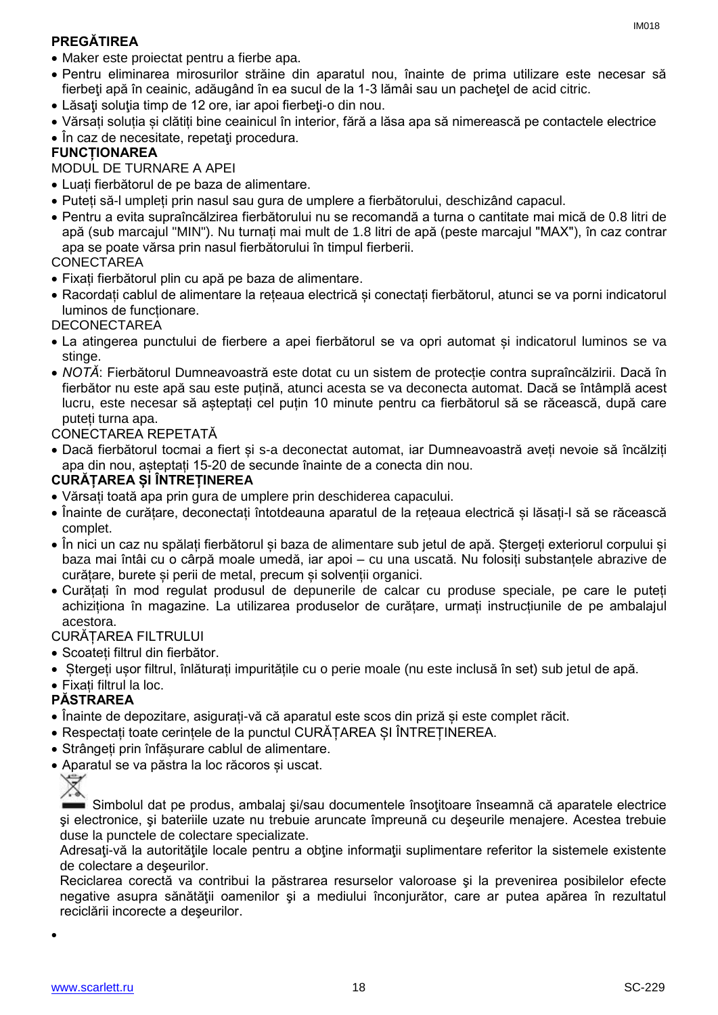### **PREGĂTIREA**

 Pentru eliminarea mirosurilor străine din aparatul nou, înainte de prima utilizare este necesar să fierbeți apă în ceainic, adăugând în ea sucul de la 1-3 lămâi sau un pachetel de acid citric.

IM018

- Lăsați soluția timp de 12 ore, iar apoi fierbeți-o din nou.
- Vărsați soluția și clătiți bine ceainicul în interior, fără a lăsa apa să nimerească pe contactele electrice
- În caz de necesitate, repetați procedura.

#### **FUNCȚIONAREA**

MODUL DE TURNARE A APEI

- Luați fierbătorul de pe baza de alimentare.
- Puteți să-l umpleți prin nasul sau gura de umplere a fierbătorului, deschizând capacul.
- Pentru a evita supraîncălzirea fierbătorului nu se recomandă a turna o cantitate mai mică de 0.8 litri de apă (sub marcajul "MIN"). Nu turnați mai mult de 1.8 litri de apă (peste marcajul "MAX"), în caz contrar apa se poate vărsa prin nasul fierbătorului în timpul fierberii.

#### CONECTAREA

- Fixați fierbătorul plin cu apă pe baza de alimentare.
- Racordați cablul de alimentare la rețeaua electrică și conectați fierbătorul, atunci se va porni indicatorul luminos de funcționare.

#### **DECONECTAREA**

- La atingerea punctului de fierbere a apei fierbătorul se va opri automat și indicatorul luminos se va stinge.
- *NOTĂ*: Fierbătorul Dumneavoastră este dotat cu un sistem de protecție contra supraîncălzirii. Dacă în fierbător nu este apă sau este puțină, atunci acesta se va deconecta automat. Dacă se întâmplă acest lucru, este necesar să așteptați cel puțin 10 minute pentru ca fierbătorul să se răcească, după care puteți turna apa.

#### CONECTAREA REPETATĂ

 Dacă fierbătorul tocmai a fiert și s-a deconectat automat, iar Dumneavoastră aveți nevoie să încălziți apa din nou, așteptați 15-20 de secunde înainte de a conecta din nou.

#### **CURĂȚAREA ȘI ÎNTREȚINEREA**

- Vărsați toată apa prin gura de umplere prin deschiderea capacului.
- Înainte de curățare, deconectați întotdeauna aparatul de la rețeaua electrică și lăsați-l să se răcească complet.
- În nici un caz nu spălați fierbătorul și baza de alimentare sub jetul de apă. Ștergeți exteriorul corpului și baza mai întâi cu o cârpă moale umedă, iar apoi – cu una uscată. Nu folosiți substanțele abrazive de curățare, burete și perii de metal, precum și solvenții organici.
- Curățați în mod regulat produsul de depunerile de calcar cu produse speciale, pe care le puteți achiziționa în magazine. La utilizarea produselor de curățare, urmați instrucțiunile de pe ambalajul acestora.

#### CURĂȚAREA FILTRULUI

- Scoateți filtrul din fierbător.
- Ștergeți ușor filtrul, înlăturați impuritățile cu o perie moale (nu este inclusă în set) sub jetul de apă.
- Fixați filtrul la loc.

#### **PĂSTRAREA**

- Înainte de depozitare, asigurați-vă că aparatul este scos din priză și este complet răcit.
- Respectați toate cerințele de la punctul CURĂȚAREA ȘI ÎNTREȚINEREA.
- Strângeți prin înfășurare cablul de alimentare.
- Aparatul se va păstra la loc răcoros și uscat.



Simbolul dat pe produs, ambalaj şi/sau documentele însoţitoare înseamnă că aparatele electrice şi electronice, şi bateriile uzate nu trebuie aruncate împreună cu deşeurile menajere. Acestea trebuie duse la punctele de colectare specializate.

Adresați-vă la autoritățile locale pentru a obține informații suplimentare referitor la sistemele existente de colectare a deşeurilor.

Reciclarea corectă va contribui la păstrarea resurselor valoroase şi la prevenirea posibilelor efecte negative asupra sănătăţii oamenilor şi a mediului înconjurător, care ar putea apărea în rezultatul reciclării incorecte a deşeurilor.

 $\bullet$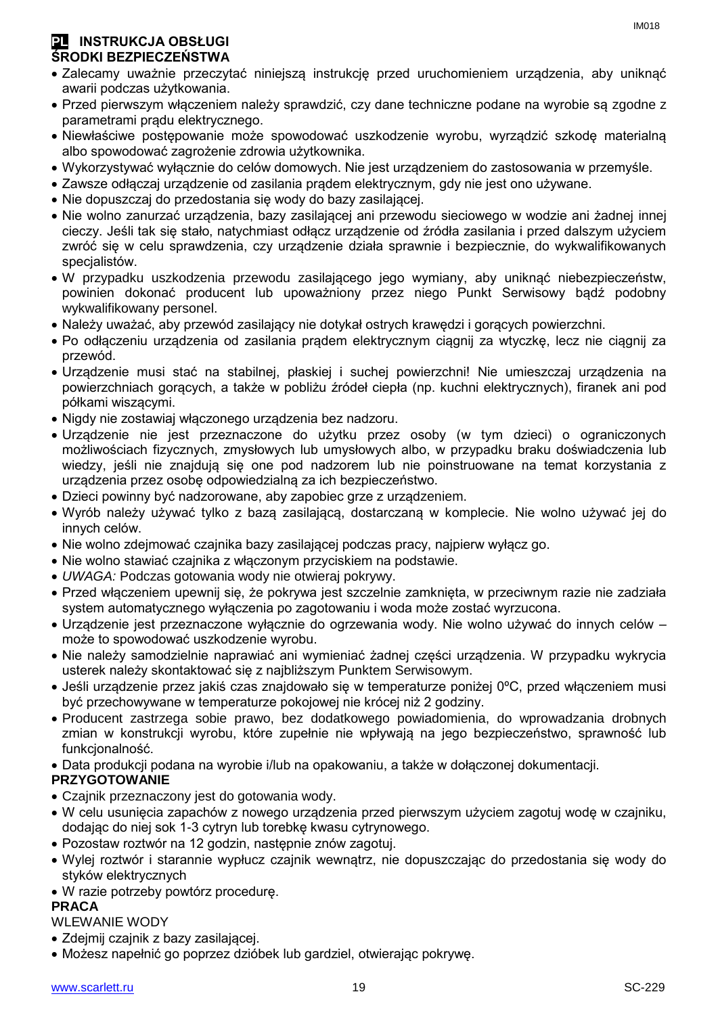#### **PL INSTRUKCJA OBSŁUGI ŚRODKI BEZPIECZEŃSTWA**

- Zalecamy uważnie przeczytać niniejszą instrukcję przed uruchomieniem urządzenia, aby uniknąć awarii podczas użytkowania.
- Przed pierwszym włączeniem należy sprawdzić, czy dane techniczne podane na wyrobie są zgodne z parametrami prądu elektrycznego.
- Niewłaściwe postępowanie może spowodować uszkodzenie wyrobu, wyrządzić szkodę materialną albo spowodować zagrożenie zdrowia użytkownika.
- Wykorzystywać wyłącznie do celów domowych. Nie jest urządzeniem do zastosowania w przemyśle.
- Zawsze odłączaj urządzenie od zasilania prądem elektrycznym, gdy nie jest ono używane.
- Nie dopuszczaj do przedostania się wody do bazy zasilającej.
- Nie wolno zanurzać urządzenia, bazy zasilającej ani przewodu sieciowego w wodzie ani żadnej innej cieczy. Jeśli tak się stało, natychmiast odłącz urządzenie od źródła zasilania i przed dalszym użyciem zwróć się w celu sprawdzenia, czy urządzenie działa sprawnie i bezpiecznie, do wykwalifikowanych specjalistów.
- W przypadku uszkodzenia przewodu zasilającego jego wymiany, aby uniknąć niebezpieczeństw, powinien dokonać producent lub upoważniony przez niego Punkt Serwisowy bądź podobny wykwalifikowany personel.
- Należy uważać, aby przewód zasilający nie dotykał ostrych krawędzi i gorących powierzchni.
- Po odłączeniu urządzenia od zasilania prądem elektrycznym ciągnij za wtyczkę, lecz nie ciągnij za przewód.
- Urządzenie musi stać na stabilnej, płaskiej i suchej powierzchni! Nie umieszczaj urządzenia na powierzchniach gorących, a także w pobliżu źródeł ciepła (np. kuchni elektrycznych), firanek ani pod półkami wiszącymi.
- Nigdy nie zostawiaj włączonego urządzenia bez nadzoru.
- Urządzenie nie jest przeznaczone do użytku przez osoby (w tym dzieci) o ograniczonych możliwościach fizycznych, zmysłowych lub umysłowych albo, w przypadku braku doświadczenia lub wiedzy, jeśli nie znajdują się one pod nadzorem lub nie poinstruowane na temat korzystania z urządzenia przez osobę odpowiedzialną za ich bezpieczeństwo.
- Dzieci powinny być nadzorowane, aby zapobiec grze z urządzeniem.
- Wyrób należy używać tylko z bazą zasilającą, dostarczaną w komplecie. Nie wolno używać jej do innych celów.
- Nie wolno zdejmować czajnika bazy zasilającej podczas pracy, najpierw wyłącz go.
- Nie wolno stawiać czajnika z włączonym przyciskiem na podstawie.
- *UWAGA:* Podczas gotowania wody nie otwieraj pokrywy.
- Przed włączeniem upewnij się, że pokrywa jest szczelnie zamknięta, w przeciwnym razie nie zadziała system automatycznego wyłączenia po zagotowaniu i woda może zostać wyrzucona.
- Urządzenie jest przeznaczone wyłącznie do ogrzewania wody. Nie wolno używać do innych celów może to spowodować uszkodzenie wyrobu.
- Nie należy samodzielnie naprawiać ani wymieniać żadnej części urządzenia. W przypadku wykrycia usterek należy skontaktować się z najbliższym Punktem Serwisowym.
- Jeśli urządzenie przez jakiś czas znajdowało się w temperaturze poniżej 0ºC, przed włączeniem musi być przechowywane w temperaturze pokojowej nie krócej niż 2 godziny.
- Producent zastrzega sobie prawo, bez dodatkowego powiadomienia, do wprowadzania drobnych zmian w konstrukcji wyrobu, które zupełnie nie wpływają na jego bezpieczeństwo, sprawność lub funkcjonalność.
- Data produkcji podana na wyrobie i/lub na opakowaniu, a także w dołączonej dokumentacji.

#### **PRZYGOTOWANIE**

- Czajnik przeznaczony jest do gotowania wody.
- W celu usunięcia zapachów z nowego urządzenia przed pierwszym użyciem zagotuj wodę w czajniku, dodając do niej sok 1-3 cytryn lub torebkę kwasu cytrynowego.
- Pozostaw roztwór na 12 godzin, następnie znów zagotuj.
- Wylej roztwór i starannie wypłucz czajnik wewnątrz, nie dopuszczając do przedostania się wody do styków elektrycznych
- W razie potrzeby powtórz procedurę.

#### **PRACA**

#### WLEWANIE WODY

- Zdejmij czajnik z bazy zasilającej.
- Możesz napełnić go poprzez dzióbek lub gardziel, otwierając pokrywę.